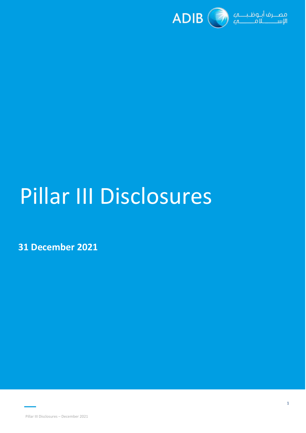

# Pillar III Disclosures

**31 December 2021**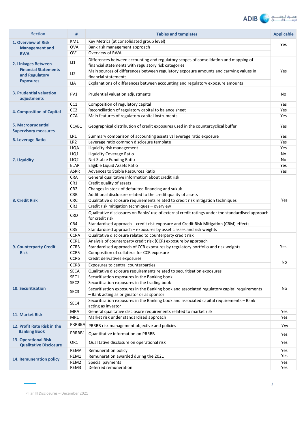

| <b>Section</b>                                               | #                | <b>Tables and templates</b>                                                                                                                  | <b>Applicable</b> |  |
|--------------------------------------------------------------|------------------|----------------------------------------------------------------------------------------------------------------------------------------------|-------------------|--|
| 1. Overview of Risk                                          | KM1              | Key Metrics (at consolidated group level)                                                                                                    |                   |  |
| <b>Management and</b>                                        | <b>OVA</b>       | Bank risk management approach                                                                                                                | Yes               |  |
| <b>RWA</b>                                                   | OV <sub>1</sub>  | Overview of RWA                                                                                                                              |                   |  |
| 2. Linkages Between                                          | LI               | Differences between accounting and regulatory scopes of consolidation and mapping of<br>financial statements with regulatory risk categories |                   |  |
| <b>Financial Statements</b><br>and Regulatory                | LI2              | Main sources of differences between regulatory exposure amounts and carrying values in                                                       | Yes               |  |
| <b>Exposures</b>                                             | LIA              | financial statements<br>Explanations of differences between accounting and regulatory exposure amounts                                       |                   |  |
| 3. Prudential valuation<br>adjustments                       | PV1              | Prudential valuation adjustments                                                                                                             | No                |  |
|                                                              | CC1              | Composition of regulatory capital                                                                                                            | Yes               |  |
| <b>4. Composition of Capital</b>                             | CC <sub>2</sub>  | Reconciliation of regulatory capital to balance sheet                                                                                        | Yes               |  |
|                                                              | <b>CCA</b>       | Main features of regulatory capital instruments                                                                                              | Yes               |  |
| 5. Macroprudential<br><b>Supervisory measures</b>            | CCyB1            | Geographical distribution of credit exposures used in the countercyclical buffer                                                             | <b>Yes</b>        |  |
|                                                              | LR1              | Summary comparison of accounting assets vs leverage ratio exposure                                                                           | Yes               |  |
| <b>6. Leverage Ratio</b>                                     | LR <sub>2</sub>  | Leverage ratio common disclosure template                                                                                                    | Yes               |  |
|                                                              | LIQA             | Liquidity risk management                                                                                                                    | Yes               |  |
|                                                              | LIQ1             | Liquidity Coverage Ratio                                                                                                                     | No                |  |
| 7. Liquidity                                                 | LIQ <sub>2</sub> | Net Stable Funding Ratio                                                                                                                     | No                |  |
|                                                              | <b>ELAR</b>      | Eligible Liquid Assets Ratio                                                                                                                 | Yes               |  |
|                                                              | <b>ASRR</b>      | Advances to Stable Resources Ratio                                                                                                           | Yes               |  |
|                                                              | <b>CRA</b>       | General qualitative information about credit risk                                                                                            |                   |  |
|                                                              | CR1              | Credit quality of assets                                                                                                                     |                   |  |
|                                                              | CR <sub>2</sub>  | Changes in stock of defaulted financing and sukuk                                                                                            |                   |  |
|                                                              | <b>CRB</b>       | Additional disclosure related to the credit quality of assets                                                                                |                   |  |
| 8. Credit Risk                                               | <b>CRC</b>       | Qualitative disclosure requirements related to credit risk mitigation techniques                                                             | Yes               |  |
|                                                              | CR3              | Credit risk mitigation techniques - overview                                                                                                 |                   |  |
|                                                              | <b>CRD</b>       | Qualitative disclosures on Banks' use of external credit ratings under the standardised approach<br>for credit risk                          |                   |  |
|                                                              | CR4              | Standardised approach - credit risk exposure and Credit Risk Mitigation (CRM) effects                                                        |                   |  |
|                                                              | CR5              | Standardised approach - exposures by asset classes and risk weights                                                                          |                   |  |
|                                                              | <b>CCRA</b>      | Qualitative disclosure related to counterparty credit risk                                                                                   |                   |  |
|                                                              | CCR1             | Analysis of counterparty credit risk (CCR) exposure by approach                                                                              |                   |  |
| 9. Counterparty Credit                                       | CCR3             | Standardised approach of CCR exposures by regulatory portfolio and risk weights                                                              | Yes               |  |
| <b>Risk</b>                                                  | CCR5             | Composition of collateral for CCR exposure                                                                                                   |                   |  |
|                                                              | CCR6             | Credit derivatives exposures                                                                                                                 |                   |  |
|                                                              | CCR8             | Exposures to central counterparties                                                                                                          | No                |  |
|                                                              | <b>SECA</b>      | Qualitative disclosure requirements related to securitisation exposures                                                                      |                   |  |
|                                                              | SEC1             | Securitisation exposures in the Banking book                                                                                                 |                   |  |
|                                                              | SEC <sub>2</sub> | Securitisation exposures in the trading book                                                                                                 |                   |  |
| <b>10. Securitisation</b>                                    | SEC <sub>3</sub> | Securitisation exposures in the Banking book and associated regulatory capital requirements<br>- Bank acting as originator or as sponsor     | No                |  |
|                                                              | SEC4             | Securitisation exposures in the Banking book and associated capital requirements - Bank<br>acting as investor                                |                   |  |
|                                                              | MRA              | General qualitative disclosure requirements related to market risk                                                                           | Yes               |  |
| 11. Market Risk                                              | MR1              | Market risk under standardised approach                                                                                                      | Yes               |  |
| 12. Profit Rate Risk in the                                  | PRRBBA           | PRRBB risk management objective and policies                                                                                                 | Yes               |  |
| <b>Banking Book</b>                                          | PRRBB1           | Quantitative information on PRRBB                                                                                                            | Yes               |  |
| <b>13. Operational Risk</b><br><b>Qualitative Disclosure</b> | OR1              | Qualitative disclosure on operational risk                                                                                                   | Yes               |  |
|                                                              | REMA             | Remuneration policy                                                                                                                          | Yes               |  |
|                                                              | REM1             | Remuneration awarded during the 2021                                                                                                         | Yes               |  |
| 14. Remuneration policy                                      | REM2             | Special payments                                                                                                                             | Yes               |  |
|                                                              | REM3             | Deferred remuneration                                                                                                                        | Yes               |  |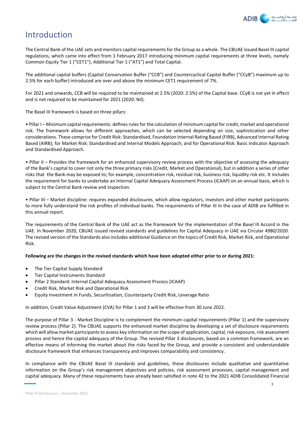

# Introduction

The Central Bank of the UAE sets and monitors capital requirements for the Group as a whole. The CBUAE issued Basel III capital regulations, which came into effect from 1 February 2017 introducing minimum capital requirements at three levels, namely Common Equity Tier 1 ("CET1"), Additional Tier 1 ("AT1") and Total Capital.

The additional capital buffers (Capital Conservation Buffer ("CCB") and Countercyclical Capital Buffer ("CCyB") maximum up to 2.5% for each buffer) introduced are over and above the minimum CET1 requirement of 7%.

For 2021 and onwards, CCB will be required to be maintained at 2.5% (2020: 2.5%) of the Capital base. CCyB is not yet in effect and is not required to be maintained for 2021 (2020: Nil).

The Basel III framework is based on three pillars:

• Pillar I – Minimum capital requirements: defines rules for the calculation of minimum capital for credit, market and operational risk. The framework allows for different approaches, which can be selected depending on size, sophistication and other considerations. These comprise for Credit Risk: Standardised, Foundation Internal Rating Based (FIRB), Advanced Internal Rating Based (AIRB); for Market Risk: Standardised and Internal Models Approach; and for Operational Risk: Basic Indicator Approach and Standardised Approach.

• Pillar II – Provides the framework for an enhanced supervisory review process with the objective of assessing the adequacy of the Bank's capital to cover not only the three primary risks (Credit, Market and Operational), but in addition a series of other risks that the Bank may be exposed to; for example, concentration risk, residual risk, business risk, liquidity risk etc. It includes the requirement for banks to undertake an Internal Capital Adequacy Assessment Process (ICAAP) on an annual basis, which is subject to the Central Bank review and inspection.

• Pillar III – Market discipline: requires expanded disclosures, which allow regulators, investors and other market participants to more fully understand the risk profiles of individual banks. The requirements of Pillar III in the case of ADIB are fulfilled in this annual report.

The requirements of the Central Bank of the UAE act as the framework for the implementation of the Basel III Accord in the UAE. In November 2020, CBUAE issued revised standards and guidelines for Capital Adequacy in UAE via Circular 4980/2020. The revised version of the Standards also includes additional Guidance on the topics of Credit Risk, Market Risk, and Operational Risk.

### **Following are the changes in the revised standards which have been adopted either prior to or during 2021:**

- The Tier Capital Supply Standard
- Tier Capital Instruments Standard
- Pillar 2 Standard: Internal Capital Adequacy Assessment Process (ICAAP)
- Credit Risk, Market Risk and Operational Risk
- Equity Investment in Funds, Securitisation, Counterparty Credit Risk, Leverage Ratio

In addition, Credit Value Adjustment (CVA) for Pillar 1 and 3 will be effective from 30 June 2022.

The purpose of Pillar 3 - Market Discipline is to complement the minimum capital requirements (Pillar 1) and the supervisory review process (Pillar 2). The CBUAE supports the enhanced market discipline by developing a set of disclosure requirements which will allow market participants to assess key information on the scope of application, capital, risk exposure, risk assessment process and hence the capital adequacy of the Group. The revised Pillar 3 disclosures, based on a common framework, are an effective means of informing the market about the risks faced by the Group, and provide a consistent and understandable disclosure framework that enhances transparency and improves comparability and consistency.

In compliance with the CBUAE Basel III standards and guidelines, these disclosures include qualitative and quantitative information on the Group's risk management objectives and policies, risk assessment processes, capital management and capital adequacy. Many of these requirements have already been satisfied in note 42 to the 2021 ADIB Consolidated Financial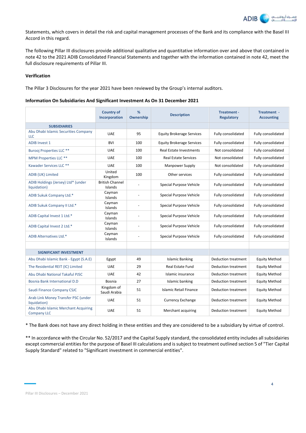

Statements, which covers in detail the risk and capital management processes of the Bank and its compliance with the Basel III Accord in this regard.

The following Pillar III disclosures provide additional qualitative and quantitative information over and above that contained in note 42 to the 2021 ADIB Consolidated Financial Statements and together with the information contained in note 42, meet the full disclosure requirements of Pillar III.

# **Verification**

The Pillar 3 Disclosures for the year 2021 have been reviewed by the Group's internal auditors.

#### **Information On Subsidiaries And Significant Investment As On 31 December 2021**

|                                                            | <b>Country of</b><br>Incorporation | %<br>Ownership | <b>Description</b>               | Treatment -<br><b>Regulatory</b> | Treatment -<br><b>Accounting</b> |
|------------------------------------------------------------|------------------------------------|----------------|----------------------------------|----------------------------------|----------------------------------|
| <b>SUBSIDIARIES</b>                                        |                                    |                |                                  |                                  |                                  |
| Abu Dhabi Islamic Securities Company<br>LLC                | <b>UAE</b>                         | 95             | <b>Equity Brokerage Services</b> | Fully consolidated               | Fully consolidated               |
| <b>ADIB Invest 1</b>                                       | <b>BVI</b>                         | 100            | <b>Equity Brokerage Services</b> | Fully consolidated               | Fully consolidated               |
| <b>Burooj Properties LLC **</b>                            | <b>UAE</b>                         | 100            | Real Estate Investments          | Not consolidated                 | Fully consolidated               |
| <b>MPM Properties LLC **</b>                               | <b>UAE</b>                         | 100            | <b>Real Estate Services</b>      | Not consolidated                 | Fully consolidated               |
| Kawader Services LLC **                                    | <b>UAE</b>                         | 100            | Manpower Supply                  | Not consolidated                 | Fully consolidated               |
| ADIB (UK) Limited                                          | United<br>Kingdom                  | 100            | Other services                   | Fully consolidated               | Fully consolidated               |
| ADIB Holdings (Jersey) Ltd* (under<br>liquidation)         | <b>British Channel</b><br>Islands  |                | Special Purpose Vehicle          | Fully consolidated               | Fully consolidated               |
| ADIB Sukuk Company Ltd.*                                   | Cayman<br>Islands                  |                | Special Purpose Vehicle          | Fully consolidated               | Fully consolidated               |
| ADIB Sukuk Company II Ltd.*                                | Cayman<br>Islands                  |                | Special Purpose Vehicle          | Fully consolidated               | Fully consolidated               |
| ADIB Capital Invest 1 Ltd.*                                | Cayman<br>Islands                  |                | Special Purpose Vehicle          | Fully consolidated               | Fully consolidated               |
| ADIB Capital Invest 2 Ltd.*                                | Cayman<br>Islands                  |                | Special Purpose Vehicle          | Fully consolidated               | Fully consolidated               |
| <b>ADIB Alternatives Ltd.*</b>                             | Cayman<br>Islands                  |                | Special Purpose Vehicle          | Fully consolidated               | Fully consolidated               |
|                                                            |                                    |                |                                  |                                  |                                  |
| <b>SIGNIFICANT INVESTMENT</b>                              |                                    |                |                                  |                                  |                                  |
| Abu Dhabi Islamic Bank - Egypt (S.A.E)                     | Egypt                              | 49             | <b>Islamic Banking</b>           | Deduction treatment              | <b>Equity Method</b>             |
| The Residential REIT (IC) Limited                          | <b>UAE</b>                         | 29             | <b>Real Estate Fund</b>          | Deduction treatment              | <b>Equity Method</b>             |
| Abu Dhabi National Takaful PJSC                            | <b>UAE</b>                         | 42             | Islamic insurance                | Deduction treatment              | <b>Equity Method</b>             |
| Bosnia Bank International D.D                              | Bosnia                             | 27             | Islamic banking                  | Deduction treatment              | <b>Equity Method</b>             |
| Saudi Finance Company CSJC                                 | Kingdom of<br>Saudi Arabia         | 51             | Islamic Retail Finance           | <b>Deduction treatment</b>       | <b>Equity Method</b>             |
| Arab Link Money Transfer PSC (under<br>liquidation)        | <b>UAE</b>                         | 51             | <b>Currency Exchange</b>         | Deduction treatment              | <b>Equity Method</b>             |
| Abu Dhabi Islamic Merchant Acquiring<br><b>Company LLC</b> | <b>UAE</b>                         | 51             | Merchant acquiring               | Deduction treatment              | <b>Equity Method</b>             |

\* The Bank does not have any direct holding in these entities and they are considered to be a subsidiary by virtue of control.

\*\* In accordance with the Circular No. 52/2017 and the Capital Supply standard, the consolidated entity includes all subsidairies except commercial entities for the purpose of Basel III calculations and is subject to treatment outlined section 5 of "Tier Capital Supply Standard" related to "Significant investment in commercial entities".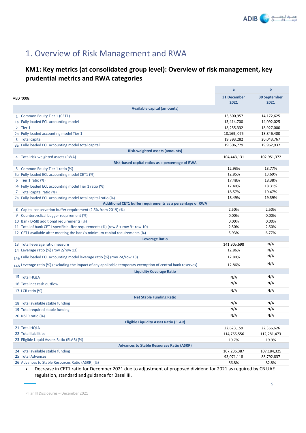

# 1. Overview of Risk Management and RWA

# **KM1: Key metrics (at consolidated group level): Overview of risk management, key prudential metrics and RWA categories**

|                                                                                                              | a           | $\mathbf b$         |
|--------------------------------------------------------------------------------------------------------------|-------------|---------------------|
| <b>AED '000s</b>                                                                                             | 31 December | <b>30 September</b> |
|                                                                                                              | 2021        | 2021                |
| <b>Available capital (amounts)</b>                                                                           |             |                     |
| 1 Common Equity Tier 1 (CET1)                                                                                | 13,500,957  | 14,172,625          |
| 1a Fully loaded ECL accounting model                                                                         | 13,414,700  | 14,092,025          |
| Tier 1<br>$\mathbf{2}$                                                                                       | 18,255,332  | 18,927,000          |
| 2a Fully loaded accounting model Tier 1                                                                      | 18,169,,075 | 18,846,400          |
| <b>Total capital</b><br>3                                                                                    | 19,393,282  | 20,043,767          |
| 3a Fully loaded ECL accounting model total capital                                                           | 19,306,779  | 19,962,937          |
| <b>Risk-weighted assets (amounts)</b>                                                                        |             |                     |
| 4 Total risk-weighted assets (RWA)                                                                           | 104,443,131 | 102,951,372         |
| Risk-based capital ratios as a percentage of RWA                                                             |             |                     |
| Common Equity Tier 1 ratio (%)                                                                               | 12.93%      | 13.77%              |
| 5a Fully loaded ECL accounting model CET1 (%)                                                                | 12.85%      | 13.69%              |
| 6 Tier 1 ratio $(\%)$                                                                                        | 17.48%      | 18.38%              |
| 6a Fully loaded ECL accounting model Tier 1 ratio (%)                                                        | 17.40%      | 18.31%              |
| 7 Total capital ratio (%)                                                                                    | 18.57%      | 19.47%              |
| 7a Fully loaded ECL accounting model total capital ratio (%)                                                 | 18.49%      | 19.39%              |
| Additional CET1 buffer requirements as a percentage of RWA                                                   |             |                     |
| Capital conservation buffer requirement (2.5% from 2019) (%)<br>8                                            | 2.50%       | 2.50%               |
| Countercyclical bugger requirement (%)<br>9                                                                  | 0.00%       | 0.00%               |
| 10 Bank D-SIB additional requirements (%)                                                                    | 0.00%       | 0.00%               |
| 11 Total of bank CET1 specific buffer requirements (%) (row 8 + row 9+ row 10)                               | 2.50%       | 2.50%               |
| 12 CET1 available after meeting the bank's minimum capital requirements (%)                                  | 5.93%       | 6.77%               |
| <b>Leverage Ratio</b>                                                                                        |             |                     |
| 13 Total leverage ratio measure                                                                              | 141,905,698 | N/A                 |
| 14 Leverage ratio (%) (row 2/row 13)                                                                         | 12.86%      | N/A                 |
| 14a Fully loaded ECL accounting model leverage ratio (%) (row 2A/row 13)                                     | 12.80%      | N/A                 |
| 14b Leverage ratio (%) (excluding the impact of any applicable temporary exemption of central bank reserves) | 12.86%      | N/A                 |
| <b>Liquidity Coverage Ratio</b>                                                                              |             |                     |
| 15 Total HQLA                                                                                                | N/A         | N/A                 |
| 16 Total net cash outflow                                                                                    | N/A         | N/A                 |
| 17 LCR ratio (%)                                                                                             | N/A         | N/A                 |
| <b>Net Stable Funding Ratio</b>                                                                              |             |                     |
| 18 Total available stable funding                                                                            | N/A         | N/A                 |
| 19 Total required stable funding                                                                             | N/A         | N/A                 |
| 20 NSFR ratio (%)                                                                                            | N/A         | N/A                 |
| <b>Eligible Liquidity Asset Ratio (ELAR)</b>                                                                 |             |                     |
| 21 Total HQLA                                                                                                | 22,623,159  | 22,366,626          |
| 22 Total liabilities                                                                                         | 114,755,556 | 112,281,473         |
| 23 Eligible Liquid Assets Ratio (ELAR) (%)                                                                   | 19.7%       | 19.9%               |
| <b>Advances to Stable Resources Ratio (ASRR)</b>                                                             |             |                     |
| 24 Total available stable funding                                                                            | 107,236,387 | 107,184,325         |
| 25 Total Advances                                                                                            | 93,071,118  | 88,792,837          |
| 26 Advances to Stable Resources Ratio (ASRR) (%)                                                             | 86.8%       | 82.8%               |

• Decrease in CET1 ratio for December 2021 due to adjustment of proposed dividend for 2021 as required by CB UAE regulation, standard and guidance for Basel III.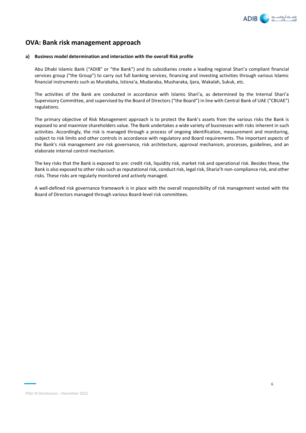

# **OVA: Bank risk management approach**

#### **a) Business model determination and interaction with the overall Risk profile**

Abu Dhabi Islamic Bank ("ADIB" or "the Bank") and its subsidiaries create a leading regional Shari'a compliant financial services group ("the Group") to carry out full banking services, financing and investing activities through various Islamic financial instruments such as Murabaha, Istisna'a, Mudaraba, Musharaka, Ijara, Wakalah, Sukuk, etc.

The activities of the Bank are conducted in accordance with Islamic Shari'a, as determined by the Internal Shari'a Supervisory Committee, and supervised by the Board of Directors ("the Board") in line with Central Bank of UAE ("CBUAE") regulations.

The primary objective of Risk Management approach is to protect the Bank's assets from the various risks the Bank is exposed to and maximize shareholders value. The Bank undertakes a wide variety of businesses with risks inherent in such activities. Accordingly, the risk is managed through a process of ongoing identification, measurement and monitoring, subject to risk limits and other controls in accordance with regulatory and Board requirements. The important aspects of the Bank's risk management are risk governance, risk architecture, approval mechanism, processes, guidelines, and an elaborate internal control mechanism.

The key risks that the Bank is exposed to are: credit risk, liquidity risk, market risk and operational risk. Besides these, the Bank is also exposed to other risks such as reputational risk, conduct risk, legal risk, Sharia'h non-compliance risk, and other risks. These risks are regularly monitored and actively managed.

A well-defined risk governance framework is in place with the overall responsibility of risk management vested with the Board of Directors managed through various Board-level risk committees.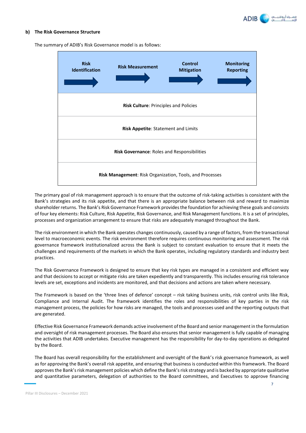

#### **b) The Risk Governance Structure**



The summary of ADIB's Risk Governance model is as follows:

The primary goal of risk management approach is to ensure that the outcome of risk-taking activities is consistent with the Bank's strategies and its risk appetite, and that there is an appropriate balance between risk and reward to maximize shareholder returns. The Bank's Risk Governance Framework provides the foundation for achieving these goals and consists of four key elements: Risk Culture, Risk Appetite, Risk Governance, and Risk Management functions. It is a set of principles, processes and organization arrangement to ensure that risks are adequately managed throughout the Bank.

The risk environment in which the Bank operates changes continuously, caused by a range of factors, from the transactional level to macroeconomic events. The risk environment therefore requires continuous monitoring and assessment. The risk governance framework institutionalized across the Bank is subject to constant evaluation to ensure that it meets the challenges and requirements of the markets in which the Bank operates, including regulatory standards and industry best practices.

The Risk Governance Framework is designed to ensure that key risk types are managed in a consistent and efficient way and that decisions to accept or mitigate risks are taken expediently and transparently. This includes ensuring risk tolerance levels are set, exceptions and incidents are monitored, and that decisions and actions are taken where necessary.

The Framework is based on the 'three lines of defence' concept – risk taking business units, risk control units like Risk, Compliance and Internal Audit. The framework identifies the roles and responsibilities of key parties in the risk management process, the policies for how risks are managed, the tools and processes used and the reporting outputs that are generated.

Effective Risk Governance Framework demands active involvement of the Board and senior management in the formulation and oversight of risk management processes. The Board also ensures that senior management is fully capable of managing the activities that ADIB undertakes. Executive management has the responsibility for day-to-day operations as delegated by the Board.

The Board has overall responsibility for the establishment and oversight of the Bank's risk governance framework, as well as for approving the Bank's overall risk appetite, and ensuring that business is conducted within this framework. The Board approves the Bank's risk management policies which define the Bank's risk strategy and is backed by appropriate qualitative and quantitative parameters, delegation of authorities to the Board committees, and Executives to approve financing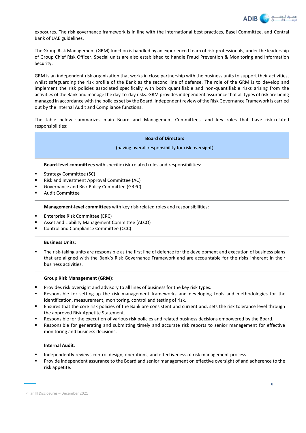

exposures. The risk governance framework is in line with the international best practices, Basel Committee, and Central Bank of UAE guidelines.

The Group Risk Management (GRM) function is handled by an experienced team of risk professionals, under the leadership of Group Chief Risk Officer. Special units are also established to handle Fraud Prevention & Monitoring and Information Security.

GRM is an independent risk organization that works in close partnership with the business units to support their activities, whilst safeguarding the risk profile of the Bank as the second line of defense. The role of the GRM is to develop and implement the risk policies associated specifically with both quantifiable and non-quantifiable risks arising from the activities of the Bank and manage the day-to-day risks. GRM provides independent assurance that all types of risk are being managed in accordance with the policies set by the Board. Independent review of the Risk Governance Framework is carried out by the Internal Audit and Compliance functions.

The table below summarizes main Board and Management Committees, and key roles that have risk-related responsibilities:

#### **Board of Directors**

(having overall responsibility for risk oversight)

**Board-level committees** with specific risk-related roles and responsibilities:

- Strategy Committee (SC)
- Risk and Investment Approval Committee (AC)
- Governance and Risk Policy Committee (GRPC)
- **Audit Committee**

**Management-level committees** with key risk-related roles and responsibilities:

- **Enterprise Risk Committee (ERC)**
- Asset and Liability Management Committee (ALCO)
- Control and Compliance Committee (CCC)

#### **Business Units**:

The risk-taking units are responsible as the first line of defence for the development and execution of business plans that are aligned with the Bank's Risk Governance Framework and are accountable for the risks inherent in their business activities.

#### **Group Risk Management (GRM)**:

- Provides risk oversight and advisory to all lines of business for the key risk types.
- Responsible for setting-up the risk management frameworks and developing tools and methodologies for the identification, measurement, monitoring, control and testing of risk.
- Ensures that the core risk policies of the Bank are consistent and current and, sets the risk tolerance level through the approved Risk Appetite Statement.
- Responsible for the execution of various risk policies and related business decisions empowered by the Board.
- Responsible for generating and submitting timely and accurate risk reports to senior management for effective monitoring and business decisions.

#### **Internal Audit**:

- Independently reviews control design, operations, and effectiveness of risk management process.
- Provide independent assurance to the Board and senior management on effective oversight of and adherence to the risk appetite.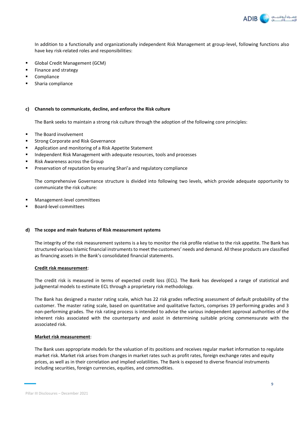

In addition to a functionally and organizationally independent Risk Management at group-level, following functions also have key risk-related roles and responsibilities:

- Global Credit Management (GCM)
- Finance and strategy
- Compliance
- Sharia compliance

#### **c) Channels to communicate, decline, and enforce the Risk culture**

The Bank seeks to maintain a strong risk culture through the adoption of the following core principles:

- The Board involvement
- Strong Corporate and Risk Governance
- Application and monitoring of a Risk Appetite Statement
- Independent Risk Management with adequate resources, tools and processes
- Risk Awareness across the Group
- Preservation of reputation by ensuring Shari'a and regulatory compliance

The comprehensive Governance structure is divided into following two levels, which provide adequate opportunity to communicate the risk culture:

- Management-level committees
- Board-level committees

#### **d) The scope and main features of Risk measurement systems**

The integrity of the risk measurement systems is a key to monitor the risk profile relative to the risk appetite. The Bank has structured various Islamic financial instruments to meet the customers' needs and demand. All these products are classified as financing assets in the Bank's consolidated financial statements.

#### **Credit risk measurement**:

The credit risk is measured in terms of expected credit loss (ECL). The Bank has developed a range of statistical and judgmental models to estimate ECL through a proprietary risk methodology.

The Bank has designed a master rating scale, which has 22 risk grades reflecting assessment of default probability of the customer. The master rating scale, based on quantitative and qualitative factors, comprises 19 performing grades and 3 non-performing grades. The risk rating process is intended to advise the various independent approval authorities of the inherent risks associated with the counterparty and assist in determining suitable pricing commensurate with the associated risk.

#### **Market risk measurement**:

The Bank uses appropriate models for the valuation of its positions and receives regular market information to regulate market risk. Market risk arises from changes in market rates such as profit rates, foreign exchange rates and equity prices, as well as in their correlation and implied volatilities. The Bank is exposed to diverse financial instruments including securities, foreign currencies, equities, and commodities.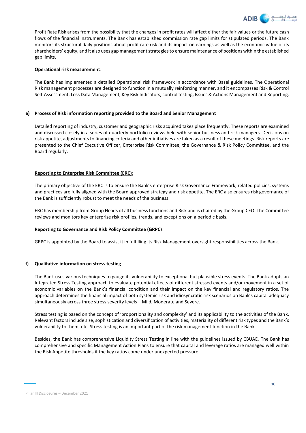

Profit Rate Risk arises from the possibility that the changes in profit rates will affect either the fair values or the future cash flows of the financial instruments. The Bank has established commission rate gap limits for stipulated periods. The Bank monitors its structural daily positions about profit rate risk and its impact on earnings as well as the economic value of its shareholders' equity, and it also uses gap management strategies to ensure maintenance of positions within the established gap limits.

### **Operational risk measurement**:

The Bank has implemented a detailed Operational risk framework in accordance with Basel guidelines. The Operational Risk management processes are designed to function in a mutually reinforcing manner, and it encompasses Risk & Control Self-Assessment, Loss Data Management, Key Risk Indicators, control testing, Issues & Actions Management and Reporting.

### **e) Process of Risk information reporting provided to the Board and Senior Management**

Detailed reporting of industry, customer and geographic risks acquired takes place frequently. These reports are examined and discussed closely in a series of quarterly portfolio reviews held with senior business and risk managers. Decisions on risk appetite, adjustments to financing criteria and other initiatives are taken as a result of these meetings. Risk reports are presented to the Chief Executive Officer, Enterprise Risk Committee, the Governance & Risk Policy Committee, and the Board regularly.

### **Reporting to Enterprise Risk Committee (ERC)**:

The primary objective of the ERC is to ensure the Bank's enterprise Risk Governance Framework, related policies, systems and practices are fully aligned with the Board approved strategy and risk appetite. The ERC also ensures risk governance of the Bank is sufficiently robust to meet the needs of the business.

ERC has membership from Group Heads of all business functions and Risk and is chaired by the Group CEO. The Committee reviews and monitors key enterprise risk profiles, trends, and exceptions on a periodic basis.

### **Reporting to Governance and Risk Policy Committee (GRPC)**:

GRPC is appointed by the Board to assist it in fulfilling its Risk Management oversight responsibilities across the Bank.

### **f) Qualitative information on stress testing**

The Bank uses various techniques to gauge its vulnerability to exceptional but plausible stress events. The Bank adopts an Integrated Stress Testing approach to evaluate potential effects of different stressed events and/or movement in a set of economic variables on the Bank's financial condition and their impact on the key financial and regulatory ratios. The approach determines the financial impact of both systemic risk and idiosyncratic risk scenarios on Bank's capital adequacy simultaneously across three stress severity levels – Mild, Moderate and Severe.

Stress testing is based on the concept of 'proportionality and complexity' and its applicability to the activities of the Bank. Relevant factors include size, sophistication and diversification of activities, materiality of different risk types and the Bank's vulnerability to them, etc. Stress testing is an important part of the risk management function in the Bank.

Besides, the Bank has comprehensive Liquidity Stress Testing in line with the guidelines issued by CBUAE. The Bank has comprehensive and specific Management Action Plans to ensure that capital and leverage ratios are managed well within the Risk Appetite thresholds if the key ratios come under unexpected pressure.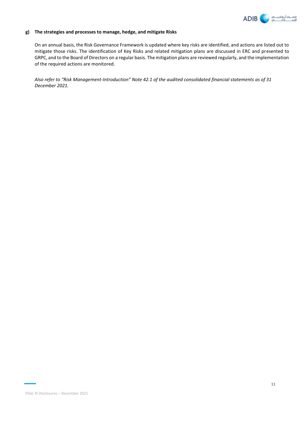

### **g) The strategies and processes to manage, hedge, and mitigate Risks**

On an annual basis, the Risk Governance Framework is updated where key risks are identified, and actions are listed out to mitigate those risks. The identification of Key Risks and related mitigation plans are discussed in ERC and presented to GRPC, and to the Board of Directors on a regular basis. The mitigation plans are reviewed regularly, and the implementation of the required actions are monitored.

*Also refer to "Risk Management-Introduction" Note 42.1 of the audited consolidated financial statements as of 31 December 2021.*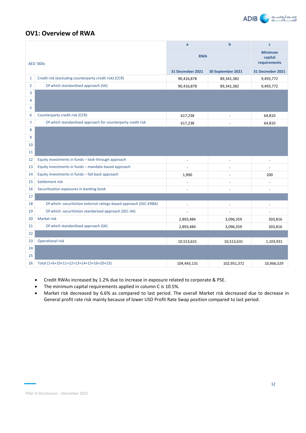

# **OV1: Overview of RWA**

|                |                                                                    | a                        | $\mathbf b$              | $\mathbf{c}$                              |
|----------------|--------------------------------------------------------------------|--------------------------|--------------------------|-------------------------------------------|
|                | <b>AED '000s</b>                                                   | <b>RWA</b>               |                          | <b>Minimum</b><br>capital<br>requirements |
|                |                                                                    | 31 Decmeber 2021         | 30 September 2021        | 31 Decmeber 2021                          |
| $\mathbf{1}$   | Credit risk (excluding counterparty credit risk) (CCR)             | 90,416,878               | 89,341,382               | 9,493,772                                 |
| $\overline{2}$ | Of which standardised approach (SA)                                | 90,416,878               | 89,341,382               | 9,493,772                                 |
| 3              |                                                                    |                          |                          |                                           |
| 4              |                                                                    |                          |                          |                                           |
| 5              |                                                                    |                          |                          |                                           |
| 6              | Counterparty credit risk (CCR)                                     | 617,238                  |                          | 64,810                                    |
| $\overline{7}$ | Of which standardised approach for counterparty credit risk        | 617,238                  |                          | 64,810                                    |
| 8              |                                                                    |                          |                          |                                           |
| 9              |                                                                    |                          |                          |                                           |
| 10             |                                                                    |                          |                          |                                           |
| 11             |                                                                    |                          |                          |                                           |
| 12             | Equity investments in funds - look-through approach                | $\overline{\phantom{a}}$ | $\overline{\phantom{a}}$ | $\overline{\phantom{a}}$                  |
| 13             | Equity investments in funds - mandate-based approach               |                          |                          | $\overline{a}$                            |
| 14             | Equity investments in funds - fall-back approach                   | 1,900                    |                          | 200                                       |
| 15             | Settlement risk                                                    |                          |                          | ÷,                                        |
| 16             | Securitisation exposures in banking book                           |                          |                          | L.                                        |
| 17             |                                                                    |                          |                          |                                           |
| 18             | Of which: securitistion external ratings-based approach (SEC-ERBA) |                          |                          | ÷,                                        |
| 19             | Of which: securitistion standarised approach (SEC-SA)              |                          |                          | $\overline{a}$                            |
| 20             | Market risk                                                        | 2,893,484                | 3,096,359                | 303,816                                   |
| 21             | Of which standardised approach (SA)                                | 2,893,484                | 3,096,359                | 303,816                                   |
| 22             |                                                                    |                          |                          |                                           |
| 23             | <b>Operational risk</b>                                            | 10,513,631               | 10,513,631               | 1,103,931                                 |
| 24             |                                                                    |                          |                          |                                           |
| 25             |                                                                    |                          |                          |                                           |
| 26             | Total (1+6+10+11+12+13+14+15+16+20+23)                             | 104,443,131              | 102,951,372              | 10,966,529                                |

• Credit RWAs increased by 1.2% due to increase in exposure related to corporate & PSE.

• The minimum capital requirements applied in column C is 10.5%.

• Market risk decreased by 6.6% as compared to last period. The overall Market risk decreased due to decrease in General profit rate risk mainly because of lower USD Profit Rate Swap position compared to last period.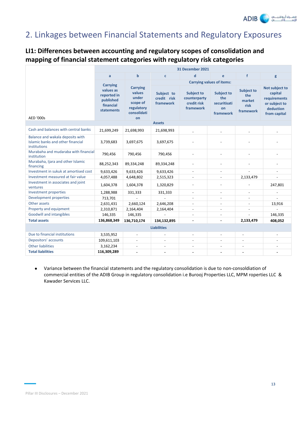

# 2. Linkages between Financial Statements and Regulatory Exposures

# **LI1: Differences between accounting and regulatory scopes of consolidation and mapping of financial statement categories with regulatory risk categories**

|                                                                                       | <b>31 December 2021</b>                                                                    |                                                                                   |                                        |                                                               |                                                             |                                                         |                                                                                         |
|---------------------------------------------------------------------------------------|--------------------------------------------------------------------------------------------|-----------------------------------------------------------------------------------|----------------------------------------|---------------------------------------------------------------|-------------------------------------------------------------|---------------------------------------------------------|-----------------------------------------------------------------------------------------|
|                                                                                       | a                                                                                          | $\mathbf b$                                                                       | $\mathbf c$                            | d                                                             | e                                                           | $\mathbf f$                                             | g                                                                                       |
|                                                                                       |                                                                                            |                                                                                   |                                        |                                                               | <b>Carrying values of items:</b>                            |                                                         |                                                                                         |
| <b>AED '000s</b>                                                                      | <b>Carrying</b><br>values as<br>reported in<br>published<br>financial<br><b>statements</b> | <b>Carrying</b><br>values<br>under<br>scope of<br>regulatory<br>consolidati<br>on | Subject to<br>credit risk<br>framework | <b>Subject to</b><br>counterparty<br>credit risk<br>framework | <b>Subject to</b><br>the<br>securitisati<br>on<br>framework | <b>Subject to</b><br>the<br>market<br>risk<br>framework | Not subject to<br>capital<br>requirements<br>or subject to<br>deduction<br>from capital |
|                                                                                       |                                                                                            |                                                                                   | <b>Assets</b>                          |                                                               |                                                             |                                                         |                                                                                         |
| Cash and balances with central banks                                                  | 21,699,249                                                                                 | 21,698,993                                                                        | 21,698,993                             |                                                               |                                                             |                                                         |                                                                                         |
| Balance and wakala deposits with<br>Islamic banks and other financial<br>institutions | 3,739,683                                                                                  | 3,697,675                                                                         | 3,697,675                              |                                                               |                                                             |                                                         |                                                                                         |
| Murabaha and mudaraba with financial<br>institution                                   | 790,456                                                                                    | 790,456                                                                           | 790,456                                | $\overline{a}$                                                | $\overline{a}$                                              |                                                         |                                                                                         |
| Murabaha, Ijara and other Islamic<br>financing                                        | 88,252,343                                                                                 | 89,334,248                                                                        | 89,334,248                             |                                                               | $\overline{\phantom{a}}$                                    |                                                         | ٠                                                                                       |
| Investment in sukuk at amortised cost                                                 | 9,633,426                                                                                  | 9,633,426                                                                         | 9,633,426                              | $\overline{\phantom{a}}$                                      | $\overline{\phantom{a}}$                                    | $\overline{a}$                                          | ٠                                                                                       |
| Investment measured at fair value                                                     | 4,057,488                                                                                  | 4,648,802                                                                         | 2,515,323                              |                                                               |                                                             | 2,133,479                                               |                                                                                         |
| Investment in associates and joint<br>ventures                                        | 1,604,378                                                                                  | 1,604,378                                                                         | 1,320,829                              | $\overline{a}$                                                | $\overline{a}$                                              |                                                         | 247,801                                                                                 |
| Investment properties                                                                 | 1,288,988                                                                                  | 331,333                                                                           | 331,333                                |                                                               |                                                             |                                                         |                                                                                         |
| Development properties                                                                | 713,701                                                                                    |                                                                                   |                                        |                                                               |                                                             |                                                         |                                                                                         |
| Other assets                                                                          | 2,631,431                                                                                  | 2,660,124                                                                         | 2,646,208                              |                                                               |                                                             |                                                         | 13,916                                                                                  |
| Property and equipment                                                                | 2,310,871                                                                                  | 2,164,404                                                                         | 2,164,404                              | $\overline{\phantom{a}}$                                      | $\overline{\phantom{a}}$                                    | $\overline{\phantom{a}}$                                |                                                                                         |
| <b>Goodwill and intangibles</b>                                                       | 146,335                                                                                    | 146,335                                                                           |                                        | $\overline{\phantom{a}}$                                      | $\overline{a}$                                              | $\sim$                                                  | 146,335                                                                                 |
| <b>Total assets</b>                                                                   | 136,868,349                                                                                | 136,710,174                                                                       | 134,132,895                            |                                                               |                                                             | 2,133,479                                               | 408,052                                                                                 |
| <b>Liabilities</b>                                                                    |                                                                                            |                                                                                   |                                        |                                                               |                                                             |                                                         |                                                                                         |
| Due to financial institutions                                                         | 3,535,952                                                                                  | $\blacksquare$                                                                    | $\blacksquare$                         | $\overline{\phantom{a}}$                                      | $\overline{\phantom{a}}$                                    | $\overline{a}$                                          | $\overline{\phantom{a}}$                                                                |
| Depositors' accounts                                                                  | 109,611,103                                                                                | ÷.                                                                                |                                        |                                                               |                                                             |                                                         |                                                                                         |
| <b>Other liabilities</b>                                                              | 3,162,234                                                                                  | $\blacksquare$                                                                    | $\overline{\phantom{a}}$               | $\overline{\phantom{a}}$                                      |                                                             | $\blacksquare$                                          |                                                                                         |
| <b>Total liabilities</b>                                                              | 116,309,289                                                                                |                                                                                   |                                        |                                                               | ٠                                                           | ÷.                                                      |                                                                                         |

• Variance between the financial statements and the regulatory consolidation is due to non-consoldiation of commercial entities of the ADIB Group in regulatory consolidation i.e Burooj Properties LLC, MPM roperties LLC & Kawader Services LLC.

Pillar III Disclosures – December 2021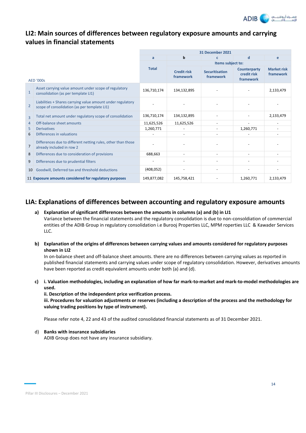

# **LI2: Main sources of differences between regulatory exposure amounts and carrying values in financial statements**

|                |                                                                                                             | 31 December 2021 |                                 |                                    |                                          |                                 |  |
|----------------|-------------------------------------------------------------------------------------------------------------|------------------|---------------------------------|------------------------------------|------------------------------------------|---------------------------------|--|
|                |                                                                                                             | a                | b                               | c                                  | d                                        | e                               |  |
|                |                                                                                                             |                  | Items subject to:               |                                    |                                          |                                 |  |
|                | <b>AED '000s</b>                                                                                            | <b>Total</b>     | <b>Credit risk</b><br>framework | <b>Securitisation</b><br>framework | Counterparty<br>credit risk<br>framework | <b>Market risk</b><br>framework |  |
| $\mathbf{1}$   | Asset carrying value amount under scope of regulatory<br>consolidation (as per template LI1)                | 136,710,174      | 134,132,895                     |                                    |                                          | 2,133,479                       |  |
| $\overline{2}$ | Liabilities + Shares carrying value amount under regulatory<br>scope of consolidation (as per template LI1) |                  |                                 |                                    |                                          |                                 |  |
| $\overline{3}$ | Total net amount under regulatory scope of consolidation                                                    | 136,710,174      | 134,132,895                     |                                    |                                          | 2,133,479                       |  |
| 4              | Off-balance sheet amounts                                                                                   | 11,625,526       | 11,625,526                      |                                    |                                          |                                 |  |
| 5              | <b>Derivatives</b>                                                                                          | 1,260,771        |                                 |                                    | 1,260,771                                |                                 |  |
| 6              | Differences in valuations                                                                                   |                  |                                 |                                    |                                          |                                 |  |
| 7              | Differences due to different netting rules, other than those<br>already included in row 2                   |                  |                                 |                                    |                                          |                                 |  |
| 8              | Differences due to consideration of provisions                                                              | 688,663          | $\overline{\phantom{a}}$        | ٠                                  |                                          |                                 |  |
| 9              | Differences due to prudential filters                                                                       |                  |                                 |                                    |                                          |                                 |  |
| 10             | Goodwill, Deferred tax and threshold deductions                                                             | (408, 052)       |                                 |                                    |                                          |                                 |  |
|                | 11 Exposure amounts considered for regulatory purposes                                                      | 149,877,082      | 145,758,421                     |                                    | 1,260,771                                | 2,133,479                       |  |

# **LIA: Explanations of differences between accounting and regulatory exposure amounts**

# **a) Explanation of significant differences between the amounts in columns (a) and (b) in LI1**  Variance between the financial statements and the regulatory consolidation is due to non-consoldiation of commercial entities of the ADIB Group in regulatory consolidation i.e Burooj Properties LLC, MPM roperties LLC & Kawader Services LLC.

**b) Explanation of the origins of differences between carrying values and amounts considered for regulatory purposes shown in LI2**

In on-balance sheet and off-balance sheet amounts. there are no differences between carrying values as reported in published financial statements and carrying values under scope of regulatory consolidation. However, derivatives amounts have been reported as credit equivalent amounts under both (a) and (d).

**c) i. Valuation methodologies, including an explanation of how far mark-to-market and mark-to-model methodologies are used.**

**ii. Description of the independent price verification process.**

**iii. Procedures for valuation adjustments or reserves (including a description of the process and the methodology for valuing trading positions by type of instrument).** 

Please refer note 4, 22 and 43 of the audited consolidated financial statements as of 31 December 2021.

d) **Banks with insurance subsidiaries**

ADIB Group does not have any insurance subsidiary.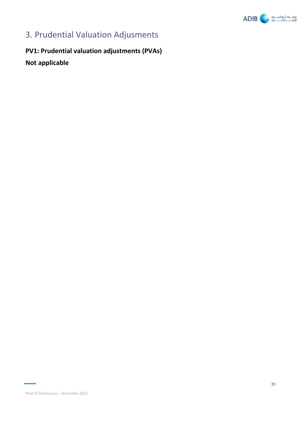

# 3. Prudential Valuation Adjusments

**PV1: Prudential valuation adjustments (PVAs) Not applicable**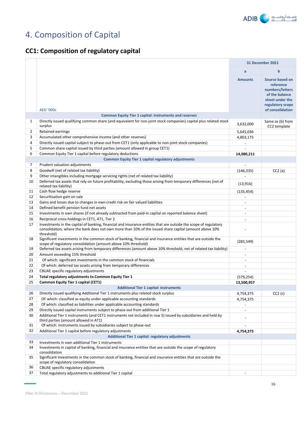

# 4. Composition of Capital

# **CC1: Composition of regulatory capital**

|              |                                                                                                                                                                                                                                          |                          | 31 December 2021                                                                                                             |
|--------------|------------------------------------------------------------------------------------------------------------------------------------------------------------------------------------------------------------------------------------------|--------------------------|------------------------------------------------------------------------------------------------------------------------------|
|              |                                                                                                                                                                                                                                          | $\mathbf{a}$             | b                                                                                                                            |
|              | <b>AED '000s</b>                                                                                                                                                                                                                         | <b>Amounts</b>           | Source based on<br>reference<br>numbers/letters<br>of the balance<br>sheet under the<br>regulatory scope<br>of consolidation |
|              | <b>Common Equity Tier 1 capital: instruments and reserves</b>                                                                                                                                                                            |                          |                                                                                                                              |
| $\mathbf{1}$ | Directly issued qualifying common share (and equivalent for non-joint stock companies) capital plus related stock<br>surplus                                                                                                             | 3,632,000                | Same as (b) from<br>CC2 template                                                                                             |
| 2            | <b>Retained earnings</b>                                                                                                                                                                                                                 | 5,645,036                |                                                                                                                              |
| 3            | Accumulated other comprehensive income (and other reserves)                                                                                                                                                                              | 4,803,175                |                                                                                                                              |
| 4            | Directly issued capital subject to phase-out from CET1 (only applicable to non-joint stock companies)                                                                                                                                    |                          |                                                                                                                              |
| 5            | Common share capital issued by third parties (amount allowed in group CET1)                                                                                                                                                              | $\overline{a}$           |                                                                                                                              |
| 6            | Common Equity Tier 1 capital before regulatory deductions                                                                                                                                                                                | 14,080,211               |                                                                                                                              |
|              | <b>Common Equity Tier 1 capital regulatory adjustments</b>                                                                                                                                                                               |                          |                                                                                                                              |
| 7            | Prudent valuation adjustments                                                                                                                                                                                                            | $\overline{\phantom{a}}$ |                                                                                                                              |
| 8            | Goodwill (net of related tax liability)                                                                                                                                                                                                  | (146, 335)               | CC2(a)                                                                                                                       |
| 9            | Other intangibles including mortgage servicing rights (net of related tax liability)                                                                                                                                                     |                          |                                                                                                                              |
| 10           | Deferred tax assets that rely on future profitability, excluding those arising from temporary differences (net of<br>related tax liability)                                                                                              | (13, 916)                |                                                                                                                              |
| 11           | Cash flow hedge reserve                                                                                                                                                                                                                  | (135, 454)               |                                                                                                                              |
| 12           | Securitisation gain on sale                                                                                                                                                                                                              |                          |                                                                                                                              |
| 13           | Gains and losses due to changes in own credit risk on fair valued liabilities                                                                                                                                                            | $\overline{a}$           |                                                                                                                              |
| 14           | Defined benefit pension fund net assets                                                                                                                                                                                                  | $\overline{\phantom{a}}$ |                                                                                                                              |
| 15           | Investments in own shares (if not already subtracted from paid-in capital on reported balance sheet)                                                                                                                                     | $\overline{a}$           |                                                                                                                              |
| 16           | Reciprocal cross-holdings in CET1, AT1, Tier 2                                                                                                                                                                                           | $\blacksquare$           |                                                                                                                              |
| 17           | Investments in the capital of banking, financial and insurance entities that are outside the scope of regulatory<br>consolidation, where the bank does not own more than 10% of the issued share capital (amount above 10%<br>threshold) |                          |                                                                                                                              |
| 18           | Significant investments in the common stock of banking, financial and insurance entities that are outside the<br>scope of regulatory consolidation (amount above 10% threshold)                                                          | (283, 549)               |                                                                                                                              |
| 19           | Deferred tax assets arising from temporary differences (amount above 10% threshold, net of related tax liability)                                                                                                                        | $\overline{\phantom{a}}$ |                                                                                                                              |
| 20           | Amount exceeding 15% threshold                                                                                                                                                                                                           | $\blacksquare$           |                                                                                                                              |
| 21           | Of which: significant investments in the common stock of financials                                                                                                                                                                      | $\overline{a}$           |                                                                                                                              |
| 22           | Of which: deferred tax assets arising from temporary differences                                                                                                                                                                         | $\blacksquare$           |                                                                                                                              |
| 23           | CBUAE specific regulatory adjustments                                                                                                                                                                                                    |                          |                                                                                                                              |
| 24           | Total regulatory adjustments to Common Equity Tier 1                                                                                                                                                                                     | (579, 254)               |                                                                                                                              |
| 25           | Common Equity Tier 1 capital (CET1)                                                                                                                                                                                                      | 13,500,957               |                                                                                                                              |
|              | <b>Additional Tier 1 capital: instruments</b>                                                                                                                                                                                            |                          |                                                                                                                              |
| 26           | Directly issued qualifying Additional Tier 1 instruments plus related stock surplus                                                                                                                                                      | 4,754,375                | CC2(c)                                                                                                                       |
| 27           | OF which: classified as equity under applicable accounting standards                                                                                                                                                                     | 4,754,375                |                                                                                                                              |
| 28           | Of which: classified as liabilities under applicable accounting standards                                                                                                                                                                | $\overline{\phantom{a}}$ |                                                                                                                              |
| 29           | Directly issued capital instruments subject to phase-out from additional Tier 1                                                                                                                                                          | $\blacksquare$           |                                                                                                                              |
| 30           | Additional Tier 1 instruments (and CET1 instruments not included in row 5) issued by subsidiaries and held by<br>third parties (amount allowed in AT1)                                                                                   |                          |                                                                                                                              |
| 31           | Of which: instruments issued by subsidiaries subject to phase-out                                                                                                                                                                        |                          |                                                                                                                              |
| 32           | Additional Tier 1 capital before regulatory adjustments                                                                                                                                                                                  | 4,754,375                |                                                                                                                              |
|              | <b>Additional Tier 1 capital: regulatory adjustments</b>                                                                                                                                                                                 |                          |                                                                                                                              |
| 33           | Investments in own additional Tier 1 instruments                                                                                                                                                                                         |                          |                                                                                                                              |
| 34           | Investments in capital of banking, financial and insurance entities that are outside the scope of regulatory<br>consolidation                                                                                                            |                          |                                                                                                                              |
| 35           | Significant investments in the common stock of banking, financial and insurance entities that are outside the<br>scope of regulatory consolidation                                                                                       |                          |                                                                                                                              |
| 36           | CBUAE specific regulatory adjustments                                                                                                                                                                                                    |                          |                                                                                                                              |
| 37           | Total regulatory adjustments to additional Tier 1 capital                                                                                                                                                                                |                          |                                                                                                                              |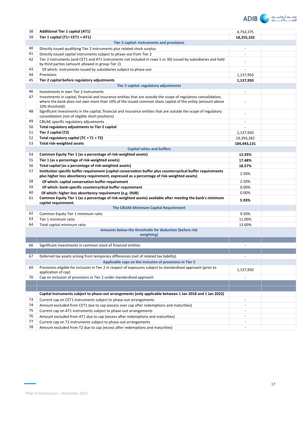

| 38 | <b>Additional Tier 1 capital (AT1)</b>                                                                                                                                                                                                         | 4,754,375                |  |
|----|------------------------------------------------------------------------------------------------------------------------------------------------------------------------------------------------------------------------------------------------|--------------------------|--|
| 39 | Tier 1 capital (T1= CET1 + AT1)                                                                                                                                                                                                                | 18,255,332               |  |
|    | Tier 2 capital: instruments and provisions                                                                                                                                                                                                     |                          |  |
| 40 | Directly issued qualifying Tier 2 instruments plus related stock surplus                                                                                                                                                                       | $\sim$                   |  |
| 41 | Directly issued capital instruments subject to phase-out from Tier 2                                                                                                                                                                           |                          |  |
| 42 | Tier 2 instruments (and CET1 and AT1 instruments not included in rows 5 or 30) issued by subsidiaries and held<br>by third parties (amount allowed in group Tier 2)                                                                            |                          |  |
| 43 | Of which: instruments issued by subsidiaries subject to phase-out                                                                                                                                                                              |                          |  |
| 44 | Provisions                                                                                                                                                                                                                                     | 1,137,950                |  |
| 45 | Tier 2 capital before regulatory adjustments                                                                                                                                                                                                   | 1,137,950                |  |
|    | Tier 2 capital: regulatory adjustments                                                                                                                                                                                                         |                          |  |
| 46 | Investments in own Tier 2 instruments                                                                                                                                                                                                          |                          |  |
| 47 | Investments in capital, financial and insurance entities that are outside the scope of regulatory consolidation,<br>where the bank does not own more than 10% of the issued common share capital of the entity (amount above<br>10% threshold) |                          |  |
| 48 | Significant investments in the capital, financial and insurance entities that are outside the scope of regulatory<br>consolidation (net of eligible short positions)                                                                           | $\overline{a}$           |  |
| 49 | CBUAE specific regulatory adjustments                                                                                                                                                                                                          | $\overline{a}$           |  |
| 50 | Total regulatory adjustments to Tier 2 capital                                                                                                                                                                                                 | $\blacksquare$           |  |
| 51 | Tier 2 capital (T2)                                                                                                                                                                                                                            | 1,137,950                |  |
| 52 | Total regulatory capital (TC = T1 + T2)                                                                                                                                                                                                        | 19,393,282               |  |
| 53 | Total risk-weighted assets                                                                                                                                                                                                                     | 104,443,131              |  |
|    | <b>Capital ratios and buffers</b>                                                                                                                                                                                                              |                          |  |
| 54 | Common Equity Tier 1 (as a percentage of risk-weighted assets)                                                                                                                                                                                 | 12.93%                   |  |
| 55 | Tier 1 (as a percentage of risk-weighted assets)                                                                                                                                                                                               | 17.48%                   |  |
| 56 | Total capital (as a percentage of risk-weighted assets)                                                                                                                                                                                        | 18.57%                   |  |
| 57 | Institution specific buffer requirement (capital conservation buffer plus countercyclical buffer requirements<br>plus higher loss absorbency requirement, expressed as a percentage of risk-weighted assets)                                   | 2.50%                    |  |
| 58 | Of which: capital conservation buffer requirement                                                                                                                                                                                              | 2.50%                    |  |
| 59 | Of which: bank-specific countercyclical buffer requirement                                                                                                                                                                                     | 0.00%                    |  |
| 60 | Of which: higher loss absorbency requirement (e.g. DSIB)                                                                                                                                                                                       | 0.00%                    |  |
| 61 | Common Equity Tier 1 (as a percentage of risk-weighted assets) available after meeting the bank's minimum<br>capital requirement.                                                                                                              | 5.93%                    |  |
|    | The CBUAE Minimum Capital Requirement                                                                                                                                                                                                          |                          |  |
| 62 | Common Equity Tier 1 minimum ratio                                                                                                                                                                                                             | 9.50%                    |  |
| 63 | Tier 1 minimum ratio                                                                                                                                                                                                                           | 11.00%                   |  |
| 64 | Total capital minimum ratio                                                                                                                                                                                                                    | 13.00%                   |  |
|    | Amounts below the thresholds for deduction (before risk<br>weighting)                                                                                                                                                                          |                          |  |
|    |                                                                                                                                                                                                                                                |                          |  |
| 66 | Significant investments in common stock of financial entities                                                                                                                                                                                  |                          |  |
|    |                                                                                                                                                                                                                                                |                          |  |
| 67 | Deferred tax assets arising from temporary differences (net of related tax liability)                                                                                                                                                          |                          |  |
|    | Applicable caps on the inclusion of provisions in Tier 2                                                                                                                                                                                       |                          |  |
| 69 | Provisions eligible for inclusion in Tier 2 in respect of exposures subject to standardised approach (prior to<br>application of cap)                                                                                                          | 1,137,950                |  |
| 70 | Cap on inclusion of provisions in Tier 2 under standardised approach                                                                                                                                                                           |                          |  |
|    |                                                                                                                                                                                                                                                |                          |  |
|    |                                                                                                                                                                                                                                                |                          |  |
|    | Capital instruments subject to phase-out arrangements (only applicable between 1 Jan 2018 and 1 Jan 2022)                                                                                                                                      |                          |  |
| 73 | Current cap on CET1 instruments subject to phase-out arrangements                                                                                                                                                                              | $\overline{\phantom{a}}$ |  |
| 74 | Amount excluded from CET1 due to cap (excess over cap after redemptions and maturities)                                                                                                                                                        | $\sim$                   |  |
| 75 | Current cap on AT1 instruments subject to phase-out arrangements                                                                                                                                                                               | $\overline{\phantom{a}}$ |  |
| 76 | Amount excluded from AT1 due to cap (excess after redemptions and maturities)                                                                                                                                                                  | $\overline{\phantom{a}}$ |  |
| 77 | Current cap on T2 instruments subject to phase-out arrangements                                                                                                                                                                                | $\overline{\phantom{a}}$ |  |
| 78 | Amount excluded from T2 due to cap (excess after redemptions and maturities)                                                                                                                                                                   | $\overline{\phantom{a}}$ |  |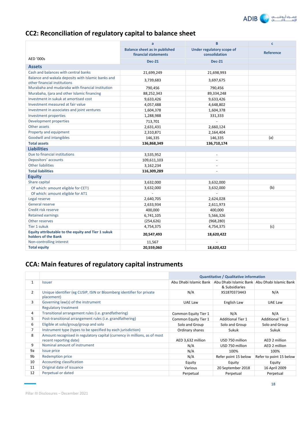

# **CC2: Reconciliation of regulatory capital to balance sheet**

|                                                                                    | B<br>a                                                       |                                            | $\mathbf{C}$     |
|------------------------------------------------------------------------------------|--------------------------------------------------------------|--------------------------------------------|------------------|
|                                                                                    | <b>Balance sheet as in published</b><br>financial statements | Under regulatory scope of<br>consolidation | <b>Reference</b> |
| <b>AED '000s</b>                                                                   | <b>Dec-21</b>                                                | <b>Dec-21</b>                              |                  |
| <b>Assets</b>                                                                      |                                                              |                                            |                  |
| Cash and balances with central banks                                               | 21,699,249                                                   | 21,698,993                                 |                  |
| Balance and wakala deposits with Islamic banks and<br>other financial institutions | 3,739,683                                                    | 3,697,675                                  |                  |
| Murabaha and mudaraba with financial institution                                   | 790,456                                                      | 790,456                                    |                  |
| Murabaha, Ijara and other Islamic financing                                        | 88,252,343                                                   | 89,334,248                                 |                  |
| Investment in sukuk at amortised cost                                              | 9,633,426                                                    | 9,633,426                                  |                  |
| Investment measured at fair value                                                  | 4,057,488                                                    | 4,648,802                                  |                  |
| Investment in associates and joint ventures                                        | 1,604,378                                                    | 1,604,378                                  |                  |
| Investment properties                                                              | 1,288,988                                                    | 331,333                                    |                  |
| Development properties                                                             | 713,701                                                      |                                            |                  |
| Other assets                                                                       | 2,631,431                                                    | 2,660,124                                  |                  |
| Property and equipment                                                             | 2,310,871                                                    | 2,164,404                                  |                  |
| Goodwill and intangibles                                                           | 146,335                                                      | 146,335                                    | (a)              |
| <b>Total assets</b>                                                                | 136,868,349                                                  | 136,710,174                                |                  |
| <b>Liabilities</b>                                                                 |                                                              |                                            |                  |
| Due to financial institutions                                                      | 3,535,952                                                    | $\overline{\phantom{a}}$                   |                  |
| Depositors' accounts                                                               | 109,611,103                                                  | $\overline{\phantom{a}}$                   |                  |
| <b>Other liabilities</b>                                                           | 3,162,234                                                    | $\overline{\phantom{a}}$                   |                  |
| <b>Total liabilities</b>                                                           | 116,309,289                                                  |                                            |                  |
| <b>Equity</b>                                                                      |                                                              |                                            |                  |
| Share capital                                                                      | 3,632,000                                                    | 3,632,000                                  |                  |
| Of which: amount eligible for CET1                                                 | 3,632,000                                                    | 3,632,000                                  | (b)              |
| Of which: amount eligible for AT1                                                  |                                                              |                                            |                  |
| Legal reserve                                                                      | 2,640,705                                                    | 2,624,028                                  |                  |
| General reserve                                                                    | 2,633,934                                                    | 2,611,973                                  |                  |
| Credit risk reserve                                                                | 400,000                                                      | 400,000                                    |                  |
| <b>Retained earnings</b>                                                           | 6,741,105                                                    | 5,566,326                                  |                  |
| Other reserves                                                                     | (254, 626)                                                   | (968, 280)                                 |                  |
| Tier 1 sukuk                                                                       | 4,754,375                                                    | 4,754,375                                  | (c)              |
| Equity attributable to the equity and Tier 1 sukuk<br>holders of the Bank          | 20,547,493                                                   | 18,620,422                                 |                  |
| Non-controlling interest                                                           | 11,567                                                       |                                            |                  |
| <b>Total equity</b>                                                                | 20,559,060                                                   | 18,620,422                                 |                  |

# **CCA: Main features of regulatory capital instruments**

|                |                                                                                                     | <b>Quantitative / Qualitative information</b> |                          |                                               |  |
|----------------|-----------------------------------------------------------------------------------------------------|-----------------------------------------------|--------------------------|-----------------------------------------------|--|
| 1              | <b>Issuer</b>                                                                                       | Abu Dhabi Islamic Bank                        | & Subsidiaries           | Abu Dhabi Islamic Bank Abu Dhabi Islamic Bank |  |
| $\overline{2}$ | Unique identifier (eg CUSIP, ISIN or Bloomberg identifier for private<br>placement)                 | N/A                                           | XS1870373443             | N/A                                           |  |
| 3              | Governing law(s) of the instrument                                                                  | UAE Law                                       | English Law              | UAE Law                                       |  |
|                | <b>Regulatory treatment</b>                                                                         |                                               |                          |                                               |  |
| 4              | Transitional arrangement rules (i.e. grandfathering)                                                | Common Equity Tier 1                          | N/A                      | N/A                                           |  |
| 5              | Post-transitional arrangement rules (i.e. grandfathering)                                           | Common Equity Tier 1                          | <b>Additional Tier 1</b> | <b>Additional Tier 1</b>                      |  |
| 6              | Eligible at solo/group/group and solo                                                               | Solo and Group                                | Solo and Group           | Solo and Group                                |  |
| $\overline{7}$ | Instrument type (types to be specified by each jurisdiction)                                        | Ordinary shares                               | Sukuk                    | Sukuk                                         |  |
| 8              | Amount recognised in regulatory capital (currency in millions, as of most<br>recent reporting date) | AED 3,632 million                             | USD 750 million          | AED 2 million                                 |  |
| 9              | Nominal amount of instrument                                                                        | N/A                                           | USD 750 million          | AED 2 million                                 |  |
| 9a             | <b>Issue price</b>                                                                                  | N/A                                           | 100%                     | 100%                                          |  |
| 9b             | <b>Redemption price</b>                                                                             | N/A                                           | Refer point 15 below     | Refer to point 15 below                       |  |
| 10             | Accounting classification                                                                           | Equity                                        | Equity                   | Equity                                        |  |
| 11             | Original date of issuance                                                                           | Various                                       | 20 September 2018        | 16 April 2009                                 |  |
| 12             | Perpetual or dated                                                                                  | Perpetual                                     | Perpetual                | Perpetual                                     |  |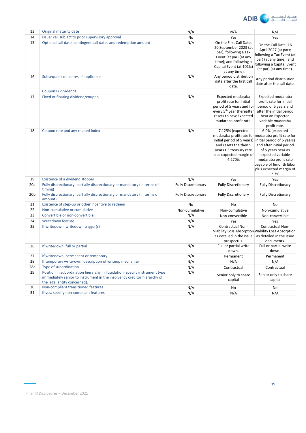

| 13              | Original maturity date                                                                                                                                                                  | N/A                        | N/A                                                                                                                                                                        | N/A                                                                                                                                                                                                                                                                                       |
|-----------------|-----------------------------------------------------------------------------------------------------------------------------------------------------------------------------------------|----------------------------|----------------------------------------------------------------------------------------------------------------------------------------------------------------------------|-------------------------------------------------------------------------------------------------------------------------------------------------------------------------------------------------------------------------------------------------------------------------------------------|
| 14              | Issuer call subject to prior supervisory approval                                                                                                                                       | No                         | Yes                                                                                                                                                                        | Yes                                                                                                                                                                                                                                                                                       |
| 15              | Optional call date, contingent call dates and redemption amount                                                                                                                         | N/A                        | On the First Call Date,<br>20 September 2023 (at<br>par); following a Tax<br>Event (at par) (at any<br>time); and following a<br>Capital Event (at 101%)<br>(at any time). | On the Call Date, 16<br>April 2027 (at par);<br>following a Tax Event (at<br>par) (at any time); and<br>following a Capital Event<br>(at par) (at any time).                                                                                                                              |
| 16              | Subsequent call dates, if applicable                                                                                                                                                    | N/A                        | Any period distribution<br>date after the first call<br>date.                                                                                                              | Any period distribution<br>date after the call date.                                                                                                                                                                                                                                      |
|                 | Coupons / dividends                                                                                                                                                                     |                            |                                                                                                                                                                            |                                                                                                                                                                                                                                                                                           |
| 17              | Fixed or floating dividend/coupon                                                                                                                                                       | N/A                        | Expected mudaraba<br>profit rate for initial<br>period of 5 years and for<br>every 5 <sup>th</sup> year thereafter<br>resets to new Expected<br>mudaraba profit rate.      | Expected mudaraba<br>profit rate for initial<br>period of 5 years and<br>after the initial period<br>bear an Expected<br>variable mudaraba<br>profit rate.                                                                                                                                |
| 18              | Coupon rate and any related index                                                                                                                                                       | N/A                        | 7.125% (expected<br>and resets the then 5<br>years US treasury rate<br>plus expected margin of<br>4.270%                                                                   | 6.0% (expected<br>mudaraba profit rate for mudaraba profit rate for<br>initial period of 5 years) initial period of 5 years)<br>and after initial period<br>of 5 years bear as<br>expected variable<br>mudaraba profit rate<br>payable of 6month Eibor<br>plus expected margin of<br>2.3% |
| 19              | Existence of a dividend stopper                                                                                                                                                         | N/A                        | Yes                                                                                                                                                                        | Yes                                                                                                                                                                                                                                                                                       |
| 20a             | Fully discrectionary, partially discrectionary or mandatory (in terms of<br>timing)                                                                                                     | <b>Fully Discretionary</b> | <b>Fully Discretionary</b>                                                                                                                                                 | <b>Fully Discretionary</b>                                                                                                                                                                                                                                                                |
| 20 <sub>b</sub> | Fully discrectionary, partially discrectionary or mandatory (in terms of<br>amount)                                                                                                     | <b>Fully Discretionary</b> | <b>Fully Discretionary</b>                                                                                                                                                 | <b>Fully Discretionary</b>                                                                                                                                                                                                                                                                |
| 21              | Existence of step-up or other incentive to redeem                                                                                                                                       | <b>No</b>                  | No                                                                                                                                                                         | No                                                                                                                                                                                                                                                                                        |
| 22              | Non-cumulative or cumulative                                                                                                                                                            | Non-cumulative             | Non-cumulative                                                                                                                                                             | Non-cumulative                                                                                                                                                                                                                                                                            |
| 23              | Convertible or non-convertible                                                                                                                                                          | N/A                        | Non-convertible                                                                                                                                                            | Non-convertible                                                                                                                                                                                                                                                                           |
| 24              | <b>Writedown feature</b>                                                                                                                                                                | N/A                        | Yes                                                                                                                                                                        | Yes                                                                                                                                                                                                                                                                                       |
| 25              | If writedown, writedown trigger(s)                                                                                                                                                      | N/A                        | Contractual Non-<br>as detailed in the issue<br>prospectus.                                                                                                                | Contractual Non-<br>Viability Loss Absorption Viability Loss Absorption<br>as detailed in the issue<br>documents.                                                                                                                                                                         |
| 26              | If writedown, full or partial                                                                                                                                                           | N/A                        | Full or partial write<br>down.                                                                                                                                             | Full or partial write<br>down.                                                                                                                                                                                                                                                            |
| 27              | If writedown, permanent or temporary                                                                                                                                                    | N/A                        | Permanent                                                                                                                                                                  | Permanent                                                                                                                                                                                                                                                                                 |
| 28              | If temporary write-own, description of writeup mechanism                                                                                                                                | N/A                        | N/A                                                                                                                                                                        | N/A                                                                                                                                                                                                                                                                                       |
| 28a             | Type of subordination                                                                                                                                                                   | N/A                        | Contractual                                                                                                                                                                | Contractual                                                                                                                                                                                                                                                                               |
| 29              | Position in subordination hierarchy in liquidation (specify instrument type<br>immediately senior to instrument in the insolvency creditor hierarchy of<br>the legal entity concerned). | N/A                        | Senior only to share<br>capital                                                                                                                                            | Senior only to share<br>capital                                                                                                                                                                                                                                                           |
| 30              | Non-compliant transitioned features                                                                                                                                                     | N/A                        | No                                                                                                                                                                         | No                                                                                                                                                                                                                                                                                        |
| 31              | If yes, specify non-compliant features                                                                                                                                                  | N/A                        | N/A                                                                                                                                                                        | N/A                                                                                                                                                                                                                                                                                       |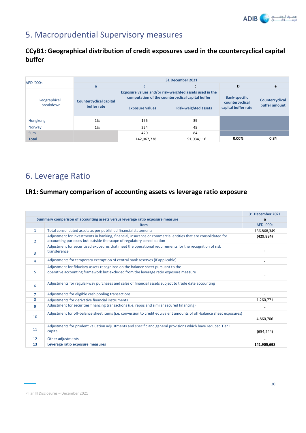

# 5. Macroprudential Supervisory measures

# **CCyB1: Geographical distribution of credit exposures used in the countercyclical capital buffer**

| <b>AED '000s</b>          | 31 December 2021                              |                                                                                                              |                             |                                        |                                  |  |  |
|---------------------------|-----------------------------------------------|--------------------------------------------------------------------------------------------------------------|-----------------------------|----------------------------------------|----------------------------------|--|--|
|                           | a                                             | C                                                                                                            | C                           | D                                      | e                                |  |  |
| Geographical<br>breakdown |                                               | Exposure values and/or risk-weighted assets used in the<br>computation of the countercyclical capital buffer | <b>Bank-specific</b>        |                                        |                                  |  |  |
|                           | <b>Countercyclical capital</b><br>buffer rate | <b>Exposure values</b>                                                                                       | <b>Risk-weighted assets</b> | countercyclical<br>capital buffer rate | Countercyclical<br>buffer amount |  |  |
| Hongkong                  | 1%                                            | 196                                                                                                          | 39                          |                                        |                                  |  |  |
| Norway                    | 1%                                            | 224                                                                                                          | 45                          |                                        |                                  |  |  |
| <b>Sum</b>                |                                               | 420                                                                                                          | 84                          |                                        |                                  |  |  |
| <b>Total</b>              |                                               | 142,967,738                                                                                                  | 91,034,116                  | 0.00%                                  | 0.84                             |  |  |

# 6. Leverage Ratio

# **LR1: Summary comparison of accounting assets vs leverage ratio exposure**

|                |                                                                                                                                                                                       | <b>31 December 2021</b> |
|----------------|---------------------------------------------------------------------------------------------------------------------------------------------------------------------------------------|-------------------------|
|                | Summary comparison of accounting assets versus leverage ratio exposure measure                                                                                                        | a                       |
|                | <b>Item</b>                                                                                                                                                                           | <b>AED '000s</b>        |
| $\mathbf{1}$   | Total consolidated assets as per published financial statements                                                                                                                       | 136,868,349             |
| 2              | Adjustment for investments in banking, financial, insurance or commercial entities that are consolidated for<br>accounting purposes but outside the scope of regulatory consolidation | (429, 884)              |
| 3              | Adjustment for securitised exposures that meet the operational requirements for the recognition of risk<br>transference                                                               |                         |
| 4              | Adjustments for temporary exemption of central bank reserves (if applicable)                                                                                                          |                         |
| 5              | Adjustment for fiduciary assets recognized on the balance sheet pursuant to the<br>operative accounting framework but excluded from the leverage ratio exposure measure               |                         |
| 6              | Adjustments for regular-way purchases and sales of financial assets subject to trade date accounting                                                                                  |                         |
| $\overline{7}$ | Adjustments for eligible cash pooling transactions                                                                                                                                    |                         |
| 8              | Adjustments for derivative financial instruments                                                                                                                                      | 1,260,771               |
| 9              | Adjustment for securities financing transactions (i.e. repos and similar secured financing)                                                                                           |                         |
| 10             | Adjustment for off-balance sheet items (i.e. conversion to credit equivalent amounts of off-balance sheet exposures)                                                                  | 4,860,706               |
| 11             | Adjustments for prudent valuation adjustments and specific and general provisions which have reduced Tier 1<br>capital                                                                | (654, 244)              |
| 12             | Other adjustments                                                                                                                                                                     |                         |
| 13             | Leverage ratio exposure measures                                                                                                                                                      | 141,905,698             |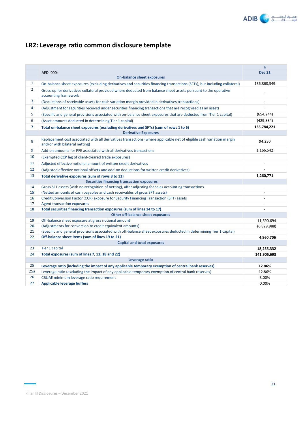

# **LR2: Leverage ratio common disclosure template**

|                |                                                                                                                                                                                   | $\mathsf{a}$             |
|----------------|-----------------------------------------------------------------------------------------------------------------------------------------------------------------------------------|--------------------------|
|                | <b>AED '000s</b><br><b>On-balance sheet exposures</b>                                                                                                                             | <b>Dec 21</b>            |
| $\mathbf{1}$   |                                                                                                                                                                                   | 136,868,349              |
| $\overline{2}$ | On-balance sheet exposures (excluding derivatives and securities financing transactions (SFTs), but including collateral)                                                         |                          |
|                | Gross-up for derivatives collateral provided where deducted from balance sheet assets pursuant to the operative<br>accounting framework                                           |                          |
| 3              | (Deductions of receivable assets for cash variation margin provided in derivatives transactions)                                                                                  | $\overline{\phantom{a}}$ |
| 4              | (Adjustment for securities received under securities financing transactions that are recognised as an asset)                                                                      |                          |
| 5              | (Specific and general provisions associated with on-balance sheet exposures that are deducted from Tier 1 capital)                                                                | (654, 244)               |
| 6              | (Asset amounts deducted in determining Tier 1 capital)                                                                                                                            | (429, 884)               |
| $\overline{7}$ | Total on-balance sheet exposures (excluding derivatives and SFTs) (sum of rows 1 to 6)                                                                                            | 135,784,221              |
|                | <b>Derivative Exposures</b>                                                                                                                                                       |                          |
| 8              | Replacement cost associated with all derivatives transactions (where applicable net of eligible cash variation margin<br>and/or with bilateral netting)                           | 94,230                   |
| 9              | Add-on amounts for PFE associated with all derivatives transactions                                                                                                               | 1,166,542                |
| 10             | (Exempted CCP leg of client-cleared trade exposures)                                                                                                                              |                          |
| 11             | Adjusted effective notional amount of written credit derivatives                                                                                                                  |                          |
| 12             | (Adjusted effective notional offsets and add-on deductions for written credit derivatives)                                                                                        |                          |
| 13             | Total derivative exposures (sum of rows 8 to 12)                                                                                                                                  | 1,260,771                |
|                | Securities financing transaction exposures                                                                                                                                        |                          |
| 14             | Gross SFT assets (with no recognition of netting), after adjusting for sales accounting transactions                                                                              | $\overline{\phantom{a}}$ |
| 15             | (Netted amounts of cash payables and cash receivables of gross SFT assets)                                                                                                        |                          |
| 16             | Credit Conversion Factor (CCR) exposure for Security Financing Transaction (SFT) assets                                                                                           | $\overline{a}$           |
| 17             | <b>Agent transaction exposures</b>                                                                                                                                                | $\overline{a}$           |
| 18             | Total securities financing transaction exposures (sum of lines 14 to 17)                                                                                                          |                          |
|                | Other off-balance sheet exposures                                                                                                                                                 |                          |
| 19             | Off-balance sheet exposure at gross notional amount                                                                                                                               | 11,690,694               |
| 20<br>21       | (Adjustments for conversion to credit equivalent amounts)<br>(Specific and general provisions associated with off-balance sheet exposures deducted in determining Tier 1 capital) | (6,829,988)              |
| 22             | Off-balance sheet items (sum of lines 19 to 21)                                                                                                                                   |                          |
|                | <b>Capital and total exposures</b>                                                                                                                                                | 4,860,706                |
| 23             | Tier 1 capital                                                                                                                                                                    | 18,255,332               |
| 24             | Total exposures (sum of lines 7, 13, 18 and 22)                                                                                                                                   | 141,905,698              |
|                | Leverage ratio                                                                                                                                                                    |                          |
| 25             | Leverage ratio (including the impact of any applicable temporary exemption of central bank reserves)                                                                              | 12.86%                   |
| 25a            | Leverage ratio (excluding the impact of any applicable temporary exemption of central bank reserves)                                                                              | 12.86%                   |
| 26             | CBUAE minimum leverage ratio requirement                                                                                                                                          | 3.00%                    |
| 27             | <b>Applicable leverage buffers</b>                                                                                                                                                | 0.00%                    |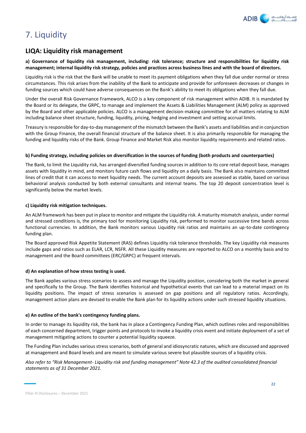

# 7. Liquidity

# **LIQA: Liquidity risk management**

### **a) Governance of liquidity risk management, including: risk tolerance; structure and responsibilities for liquidity risk management; internal liquidity risk strategy, policies and practices across business lines and with the board of directors.**

Liquidity risk is the risk that the Bank will be unable to meet its payment obligations when they fall due under normal or stress circumstances. This risk arises from the inability of the Bank to anticipate and provide for unforeseen decreases or changes in funding sources which could have adverse consequences on the Bank's ability to meet its obligations when they fall due.

Under the overall Risk Governance Framework, ALCO is a key component of risk management within ADIB. It is mandated by the Board or its delegate, the GRPC, to manage and implement the Assets & Liabilities Management (ALM) policy as approved by the Board and other applicable policies. ALCO is a management decision-making committee for all matters relating to ALM including balance sheet structure, funding, liquidity, pricing, hedging and investment and setting accrual limits.

Treasury is responsible for day-to-day management of the mismatch between the Bank's assets and liabilities and in conjunction with the Group Finance, the overall financial structure of the balance sheet. It is also primarily responsible for managing the funding and liquidity risks of the Bank. Group Finance and Market Risk also monitor liquidity requirements and related ratios.

### **b) Funding strategy, including policies on diversification in the sources of funding (both products and counterparties)**

The Bank, to limit the Liquidity risk, has arranged diversified funding sources in addition to its core retail deposit base, manages assets with liquidity in mind, and monitors future cash flows and liquidity on a daily basis. The Bank also maintains committed lines of credit that it can access to meet liquidity needs. The current account deposits are assessed as stable, based on various behavioral analysis conducted by both external consultants and internal teams. The top 20 deposit concentration level is significantly below the market levels.

### **c) Liquidity risk mitigation techniques.**

An ALM framework has been put in place to monitor and mitigate the Liquidity risk. A maturity mismatch analysis, under normal and stressed conditions is, the primary tool for monitoring Liquidity risk, performed to monitor successive time bands across functional currencies. In addition, the Bank monitors various Liquidity risk ratios and maintains an up-to-date contingency funding plan.

The Board approved Risk Appetite Statement (RAS) defines Liquidity risk tolerance thresholds. The key Liquidity risk measures include gaps and ratios such as ELAR, LCR, NSFR. All these Liquidity measures are reported to ALCO on a monthly basis and to management and the Board committees (ERC/GRPC) at frequent intervals.

### **d) An explanation of how stress testing is used.**

The Bank applies various stress scenarios to assess and manage the Liquidity position, considering both the market in general and specifically to the Group. The Bank identifies historical and hypothetical events that can lead to a material impact on its liquidity positions. The impact of stress scenarios is assessed on gap positions and all regulatory ratios. Accordingly, management action plans are devised to enable the Bank plan for its liquidity actions under such stressed liquidity situations.

#### **e) An outline of the bank's contingency funding plans.**

In order to manage its liquidity risk, the bank has in place a Contingency Funding Plan, which outlines roles and responsibilities of each concerned department, trigger points and protocols to invoke a liquidity crisis event and initiate deployment of a set of management mitigating actions to counter a potential liquidity squeeze.

The Funding Plan includes various stress scenarios, both of general and idiosyncratic natures, which are discussed and approved at management and Board levels and are meant to simulate various severe but plausible sources of a liquidity crisis.

*Also refer to "Risk Management- Liquidity risk and funding management" Note 42.3 of the audited consolidated financial statements as of 31 December 2021.*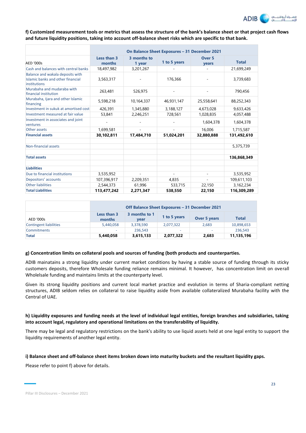

**f) Customized measurement tools or metrics that assess the structure of the bank's balance sheet or that project cash flows and future liquidity positions, taking into account off-balance sheet risks which are specific to that bank.**

|                                                                                       | On Balance Sheet Exposures - 31 December 2021 |                          |              |                            |              |  |  |  |  |
|---------------------------------------------------------------------------------------|-----------------------------------------------|--------------------------|--------------|----------------------------|--------------|--|--|--|--|
| <b>AED '000s</b>                                                                      | Less than 3<br>months                         | 3 months to<br>1 year    | 1 to 5 years | Over <sub>5</sub><br>years | <b>Total</b> |  |  |  |  |
| Cash and balances with central banks                                                  | 18,497,982                                    | 3,201,267                |              |                            | 21,699,249   |  |  |  |  |
| Balance and wakala deposits with<br>Islamic banks and other financial<br>institutions | 3,563,317                                     |                          | 176,366      |                            | 3,739,683    |  |  |  |  |
| Murabaha and mudaraba with<br>financial institution                                   | 263,481                                       | 526,975                  |              |                            | 790,456      |  |  |  |  |
| Murabaha, Ijara and other Islamic<br>financing                                        | 5,598,218                                     | 10,164,337               | 46,931,147   | 25,558,641                 | 88,252,343   |  |  |  |  |
| Investment in sukuk at amortised cost                                                 | 426,391                                       | 1,345,880                | 3,188,127    | 4,673,028                  | 9,633,426    |  |  |  |  |
| Investment measured at fair value                                                     | 53,841                                        | 2,246,251                | 728,561      | 1,028,835                  | 4,057,488    |  |  |  |  |
| Investment in associates and joint<br>ventures                                        |                                               |                          |              | 1,604,378                  | 1,604,378    |  |  |  |  |
| Other assets                                                                          | 1,699,581                                     |                          |              | 16,006                     | 1,715,587    |  |  |  |  |
| <b>Financial assets</b>                                                               | 30,102,811                                    | 17,484,710               | 51,024,201   | 32,880,888                 | 131,492,610  |  |  |  |  |
| Non-financial assets                                                                  |                                               |                          |              |                            | 5,375,739    |  |  |  |  |
| <b>Total assets</b>                                                                   |                                               |                          |              |                            | 136,868,349  |  |  |  |  |
| <b>Liabilities</b>                                                                    |                                               |                          |              |                            |              |  |  |  |  |
| Due to financial institutions                                                         | 3,535,952                                     | $\overline{\phantom{a}}$ | ÷,           | ٠                          | 3,535,952    |  |  |  |  |
| Depositors' accounts                                                                  | 107,396,917                                   | 2,209,351                | 4,835        |                            | 109,611,103  |  |  |  |  |
| <b>Other liabilities</b>                                                              | 2,544,373                                     | 61,996                   | 533,715      | 22,150                     | 3,162,234    |  |  |  |  |
| <b>Total Liabilities</b>                                                              | 113,477,242                                   | 2,271,347                | 538,550      | 22,150                     | 116,309,289  |  |  |  |  |

|                               | Off Balance Sheet Exposures - 31 December 2021 |              |           |       |            |  |  |  |  |
|-------------------------------|------------------------------------------------|--------------|-----------|-------|------------|--|--|--|--|
| AED '000s                     | Less than 3<br>months                          | <b>Total</b> |           |       |            |  |  |  |  |
| <b>Contingent liabilities</b> | 5,440,058                                      | 3,378,590    | 2,077,322 | 2.683 | 10,898,653 |  |  |  |  |
| <b>Commitments</b>            | -                                              | 236.543      |           | ۰     | 236.543    |  |  |  |  |
| <b>Total</b>                  | 5,440,058                                      | 3,615,133    | 2,077,322 | 2,683 | 11,135,196 |  |  |  |  |

#### **g) Concentration limits on collateral pools and sources of funding (both products and counterparties.**

ADIB mainatains a strong liquidity under current market conditions by having a stable source of funding through its sticky customers deposits, therefore Wholesale funding reliance remains minimal. It however, has concentration limit on overall Wholelsale funding and maintains limits at the counterparty level.

Given its strong liquidity positions and current local market practice and evolution in terms of Sharia-compliant netting structures, ADIB seldom relies on collateral to raise liquidity aside from available collateralized Murabaha facility with the Central of UAE.

### **h) Liquidity exposures and funding needs at the level of individual legal entities, foreign branches and subsidiaries, taking into account legal, regulatory and operational limitations on the transferability of liquidity.**

There may be legal and regulatory restrictions on the bank's ability to use liquid assets held at one legal entity to support the liquidity requirements of another legal entity.

#### **i) Balance sheet and off-balance sheet items broken down into maturity buckets and the resultant liquidity gaps.**

Please refer to point f) above for details.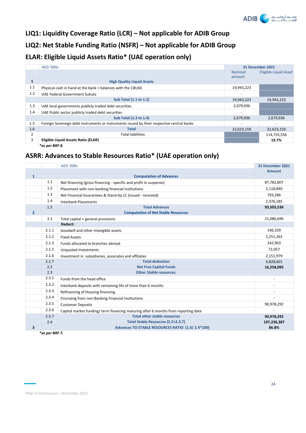

# **LIQ1: Liquidity Coverage Ratio (LCR) – Not applicable for ADIB Group**

**LIQ2: Net Stable Funding Ratio (NSFR) – Not applicable for ADIB Group** 

# **ELAR: Eligible Liquid Assets Ratio\* (UAE operation only)**

|                | <b>AED '000s</b>                                                                           |                          | 31 December 2021             |
|----------------|--------------------------------------------------------------------------------------------|--------------------------|------------------------------|
|                |                                                                                            | <b>Nominal</b><br>amount | <b>Eligible Liquid Asset</b> |
| $\mathbf{1}$   | <b>High Quality Liquid Assets</b>                                                          |                          |                              |
| 1.1            | Physical cash in hand at the bank + balances with the CBUAE                                | 19,943,223               |                              |
| 1.2            | <b>UAE Federal Government Sukuks</b>                                                       |                          |                              |
|                | <b>Sub Total (1.1 to 1.2)</b>                                                              | 19,943,223               | 19,943,223                   |
| 1.3            | UAE local governments publicly traded debt securities                                      | 2,679,936                |                              |
| 1.4            | UAE Public sector publicly traded debt securities                                          | $\overline{\phantom{a}}$ |                              |
|                | Sub Total (1.3 to 1.4)                                                                     | 2,679,936                | 2,679,936                    |
| 1.5            | Foreign Sovereign debt instruments or instruments issued by their respective central banks | $\overline{\phantom{a}}$ |                              |
| 1.6            | Total                                                                                      | 22,623,159               | 22,623,159                   |
| $\overline{2}$ | <b>Total liabilities</b>                                                                   |                          | 114,755,556                  |
| 3              | Eligible Liquid Assets Ratio (ELAR)                                                        |                          | 19.7%                        |
|                | *as per BRF 8.                                                                             |                          |                              |

# **ASRR: Advances to Stable Resources Ratio\* (UAE operation only)**

|                |       | <b>AED '000s</b>                                                                  | <b>31 December 2021</b> |
|----------------|-------|-----------------------------------------------------------------------------------|-------------------------|
|                |       |                                                                                   | <b>Amount</b>           |
| $\mathbf{1}$   |       | <b>Computation of Advances</b>                                                    |                         |
|                | 1.1   | Net financing (gross financing - specific and profit in suspense)                 | 87,782,807              |
|                | 1.2   | Placement with non-banking financial institutions                                 | 2,118,840               |
|                | 1.3   | Net Financial Guarantees & Stand-by LC (issued - received)                        | 793,286                 |
|                | 1.4   | <b>Interbank Placements</b>                                                       | 2,376,185               |
|                | 1.5   | <b>Total Advances</b>                                                             | 93,503,536              |
| $\overline{2}$ |       | <b>Computation of Net Stable Resources</b>                                        |                         |
|                | 2.1   | Total capital + general provisions                                                | 21,086,696              |
|                |       | Deduct:                                                                           |                         |
|                | 2.1.1 | Goodwill and other intangible assets                                              | 146,339                 |
|                | 2.1.2 | <b>Fixed Assets</b>                                                               | 2,251,263               |
|                | 2.1.3 | Funds allocated to branches abroad                                                | 242,963                 |
|                | 2.1.5 | Unquoted Investments                                                              | 72,057                  |
|                | 2.1.6 | Investment in subsidiaries, associates and affiliates                             | 2,151,979               |
|                | 2.1.7 | <b>Total deduction</b>                                                            | 4,828,601               |
|                | 2.2   | <b>Net Free Capital Funds</b>                                                     | 16,258,095              |
|                | 2.3   | <b>Other Stable resources:</b>                                                    |                         |
|                | 2.3.1 | Funds from the head office                                                        |                         |
|                | 2.3.2 | Interbank deposits with remaining life of more than 6 months                      |                         |
|                | 2.3.3 | Refinancing of Housing financing                                                  |                         |
|                | 2.3.4 | Fincnaing from non-Banking Financial Institutions                                 |                         |
|                | 2.3.5 | <b>Customer Deposits</b>                                                          | 90,978,292              |
|                | 2.3.6 | Capital market funding/term financing maturing after 6 months from reporting date |                         |
|                | 2.3.7 | <b>Total other stable resources</b>                                               | 90,978,292              |
|                | 2.4   | Total Stable Resources (2.2+2.3.7)                                                | 107,236,387             |
| 3              |       | Advances TO STABLE RESOURCES RATIO (1.6/2.4*100)                                  | 86.8%                   |

*\*as per BRF 7.*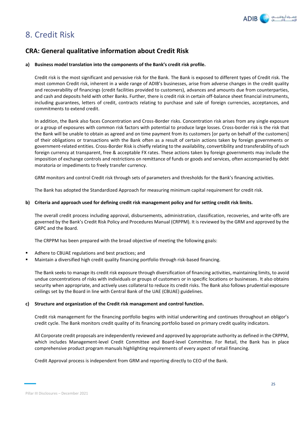

# 8. Credit Risk

# **CRA: General qualitative information about Credit Risk**

### **a) Business model translation into the components of the Bank's credit risk profile.**

Credit risk is the most significant and pervasive risk for the Bank. The Bank is exposed to different types of Credit risk. The most common Credit risk, inherent in a wide range of ADIB's businesses, arise from adverse changes in the credit quality and recoverability of financings (credit facilities provided to customers), advances and amounts due from counterparties, and cash and deposits held with other Banks. Further, there is credit risk in certain off-balance sheet financial instruments, including guarantees, letters of credit, contracts relating to purchase and sale of foreign currencies, acceptances, and commitments to extend credit.

In addition, the Bank also faces Concentration and Cross-Border risks. Concentration risk arises from any single exposure or a group of exposures with common risk factors with potential to produce large losses. Cross-border risk is the risk that the Bank will be unable to obtain as agreed and on time payment from its customers [or party on behalf of the customers] of their obligations or transactions with the Bank often as a result of certain actions taken by foreign governments or government-related entities. Cross-Border Risk is chiefly relating to the availability, convertibility and transferability of such foreign currency at transparent, free & acceptable FX rates. These actions taken by foreign governments may include the imposition of exchange controls and restrictions on remittance of funds or goods and services, often accompanied by debt moratoria or impediments to freely transfer currency.

GRM monitors and control Credit risk through sets of parameters and thresholds for the Bank's financing activities.

The Bank has adopted the Standardized Approach for measuring minimum capital requirement for credit risk.

### **b) Criteria and approach used for defining credit risk management policy and for setting credit risk limits.**

The overall credit process including approval, disbursements, administration, classification, recoveries, and write-offs are governed by the Bank's Credit Risk Policy and Procedures Manual (CRPPM). It is reviewed by the GRM and approved by the GRPC and the Board.

The CRPPM has been prepared with the broad objective of meeting the following goals:

- Adhere to CBUAE regulations and best practices; and
- Maintain a diversified high credit quality financing portfolio through risk-based financing.

The Bank seeks to manage its credit risk exposure through diversification of financing activities, maintaining limits, to avoid undue concentrations of risks with individuals or groups of customers or in specific locations or businesses. It also obtains security when appropriate, and actively uses collateral to reduce its credit risks. The Bank also follows prudential exposure ceilings set by the Board in line with Central Bank of the UAE (CBUAE) guidelines.

#### **c) Structure and organization of the Credit risk management and control function.**

Credit risk management for the financing portfolio begins with initial underwriting and continues throughout an obligor's credit cycle. The Bank monitors credit quality of its financing portfolio based on primary credit quality indicators.

All Corporate credit proposals are independently reviewed and approved by appropriate authority as defined in the CRPPM, which includes Management-level Credit Committee and Board-level Committee. For Retail, the Bank has in place comprehensive product program manuals highlighting requirements of every aspect of retail financing.

Credit Approval process is independent from GRM and reporting directly to CEO of the Bank.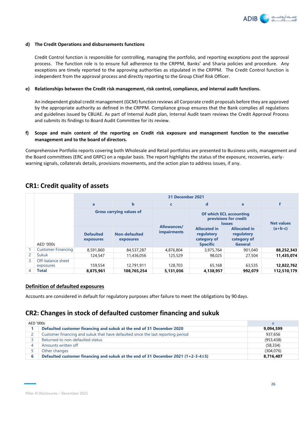

#### **d) The Credit Operations and disbursements functions**

Credit Control function is responsible for controlling, managing the portfolio, and reporting exceptions post the approval process. The function role is to ensure full adherence to the CRPPM, Banks' and Sharia policies and procedure. Any exceptions are timely reported to the approving authorities as stipulated in the CRPPM. The Credit Control function is independent from the approval process and directly reporting to the Group Chief Risk Officer.

#### **e) Relationships between the Credit risk management, risk control, compliance, and internal audit functions.**

An independent global credit management (GCM) function reviews all Corporate credit proposals before they are approved by the appropriate authority as defined in the CRPPM. Compliance group ensures that the Bank complies all regulations and guidelines issued by CBUAE. As part of Internal Audit plan, Internal Audit team reviews the Credit Approval Process and submits its findings to Board Audit Committee for its review.

### **f) Scope and main content of the reporting on Credit risk exposure and management function to the executive management and to the board of directors.**

Comprehensive Portfolio reports covering both Wholesale and Retail portfolios are presented to Business units, management and the Board committees (ERC and GRPC) on a regular basis. The report highlights the status of the exposure, recoveries, earlywarning signals, collaterals details, provisions movements, and the action plan to address issues, if any.

|                |                           |                               |                                 | 31 December 2021                  |                                                                     |                                                                          |                   |
|----------------|---------------------------|-------------------------------|---------------------------------|-----------------------------------|---------------------------------------------------------------------|--------------------------------------------------------------------------|-------------------|
|                |                           | a                             | $\mathbf b$                     | C                                 | $\mathbf d$<br>e                                                    |                                                                          |                   |
|                |                           |                               | <b>Gross carrying values of</b> |                                   |                                                                     | <b>Of which ECL accounting</b><br>provisions for credit<br><b>losses</b> | <b>Net values</b> |
|                | AED '000s                 | <b>Defaulted</b><br>exposures | Non-defaulted<br>exposures      | Allowances/<br><b>impairments</b> | <b>Allocated in</b><br>regulatory<br>category of<br><b>Specific</b> | <b>Allocated in</b><br>regulatory<br>category of<br><b>General</b>       | $(a+b-c)$         |
|                | <b>Customer Financing</b> | 8,591,860                     | 84,537,287                      | 4,876,804                         | 3,975,764                                                           | 901,040                                                                  | 88,252,343        |
| $\overline{2}$ | Sukuk                     | 124,547                       | 11,436,056                      | 125,529                           | 98,025                                                              | 27,504                                                                   | 11,435,074        |
| 3              | Off-balance sheet         |                               |                                 |                                   |                                                                     |                                                                          |                   |
|                | exposures                 | 159,554                       | 12,791,911                      | 128,703                           | 65,168                                                              | 63,535                                                                   | 12,822,762        |
| $\overline{4}$ | <b>Total</b>              | 8.875.961                     | 108,765,254                     | 5,131,036                         | 4.138.957                                                           | 992.079                                                                  | 112,510,179       |

# **CR1: Credit quality of assets**

### **Definition of defaulted exposures**

Accounts are considered in default for regulatory purposes after failure to meet the obligations by 90 days.

# **CR2: Changes in stock of defaulted customer financing and sukuk**

| AED '000s |                                                                                   | a          |
|-----------|-----------------------------------------------------------------------------------|------------|
|           | Defaulted customer financing and sukuk at the end of 31 December 2020             | 9,094,599  |
|           | Customer financing and sukuk that have defaulted since the last reporting period  | 937.656    |
|           | Returned to non-defaulted status                                                  | (953, 438) |
| 4         | Amounts written off                                                               | (58.334)   |
|           | Other changes                                                                     | (304.076)  |
| 6         | Defaulted customer financing and sukuk at the end of 31 December 2021 (1+2-3-4±5) | 8,716,407  |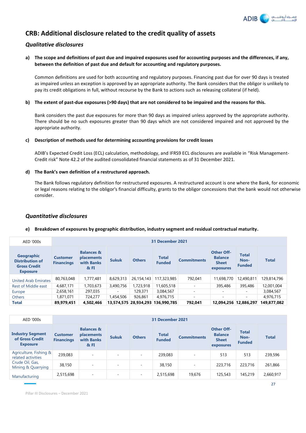

# **CRB: Additional disclosure related to the credit quality of assets**

# *Qualitative disclosures*

**a) The scope and definitions of past due and impaired exposures used for accounting purposes and the differences, if any, between the definition of past due and default for accounting and regulatory purposes.** 

Common definitions are used for both accounting and regulatory purposes. Financing past due for over 90 days is treated as impaired unless an exception is approved by an appropriate authority. The Bank considers that the obligor is unlikely to pay its credit obligations in full, without recourse by the Bank to actions such as releasing collateral (if held).

### **b) The extent of past-due exposures (>90 days) that are not considered to be impaired and the reasons for this.**

Bank considers the past due exposures for more than 90 days as impaired unless approved by the appropriate authority. There should be no such exposures greater than 90 days which are not considered impaired and not approved by the appropriate authority.

### **c) Description of methods used for determining accounting provisions for credit losses**

ADIB's Expected Credit Loss (ECL) calculation, methodology, and IFRS9 ECL disclosures are available in "Risk Management-Credit risk" Note 42.2 of the audited consolidated financial statements as of 31 December 2021.

### **d) The Bank's own definition of a restructured approach.**

The Bank follows regulatory definition for restructured exposures. A restructured account is one where the Bank, for economic or legal reasons relating to the obligor's financial difficulty, grants to the obligor concessions that the bank would not otherwise consider.

# *Quantitative disclosures*

### **e) Breakdown of exposures by geographic distribution, industry segment and residual contractual maturity.**

| AED '000s                                                                             |                                      | 31 December 2021                                                    |              |                       |                               |                    |                                                                  |                                       |              |  |
|---------------------------------------------------------------------------------------|--------------------------------------|---------------------------------------------------------------------|--------------|-----------------------|-------------------------------|--------------------|------------------------------------------------------------------|---------------------------------------|--------------|--|
| <b>Geographic</b><br><b>Distribution of</b><br><b>Gross Credit</b><br><b>Exposure</b> | <b>Customer</b><br><b>Financings</b> | <b>Balances &amp;</b><br>placements<br>with Banks<br><b>&amp;FI</b> | <b>Sukuk</b> | <b>Others</b>         | <b>Total</b><br><b>Funded</b> | <b>Commitments</b> | <b>Other Off-</b><br><b>Balance</b><br><b>Sheet</b><br>exposures | <b>Total</b><br>Non-<br><b>Funded</b> | <b>Total</b> |  |
| <b>United Arab Emirates</b>                                                           | 80,763,048                           | 1,777,481                                                           | 8,629,313    | 26,154,143            | 117,323,985                   | 792,041            | 11,698,770                                                       | 12,490,811                            | 129,814,796  |  |
| <b>Rest of Middle east</b>                                                            | 4,687,171                            | 1,703,673                                                           | 3,490,756    | 1,723,918             | 11,605,518                    | ۰                  | 395,486                                                          | 395,486                               | 12,001,004   |  |
| Europe                                                                                | 2,658,161                            | 297,035                                                             | ۰            | 129,371               | 3,084,567                     |                    |                                                                  | ۰                                     | 3,084,567    |  |
| <b>Others</b>                                                                         | 1.871.071                            | 724,277                                                             | 1,454,506    | 926.861               | 4,976,715                     | ۰                  | $\overline{\phantom{a}}$                                         | -                                     | 4.976.715    |  |
| <b>Total</b>                                                                          | 89,979,451                           | 4,502,466                                                           |              | 13,574,575 28,934,293 | 136,990,785                   | 792,041            | 12.094.256 12.886.297                                            |                                       | 149,877,082  |  |

| AED '000s                                                     |                                      | 31 December 2021                                                    |                          |                          |                               |                    |                                                                  |                                       |              |  |  |
|---------------------------------------------------------------|--------------------------------------|---------------------------------------------------------------------|--------------------------|--------------------------|-------------------------------|--------------------|------------------------------------------------------------------|---------------------------------------|--------------|--|--|
| <b>Industry Segment</b><br>of Gross Credit<br><b>Exposure</b> | <b>Customer</b><br><b>Financings</b> | <b>Balances &amp;</b><br>placements<br>with Banks<br><b>&amp;FI</b> | <b>Sukuk</b>             | <b>Others</b>            | <b>Total</b><br><b>Funded</b> | <b>Commitments</b> | <b>Other Off-</b><br><b>Balance</b><br><b>Sheet</b><br>exposures | <b>Total</b><br>Non-<br><b>Funded</b> | <b>Total</b> |  |  |
| Agriculture, Fishing &<br>related activities                  | 239,083                              | $\sim$                                                              | $\sim$                   | $\overline{\phantom{a}}$ | 239,083                       | <b>умера</b>       | 513                                                              | 513                                   | 239,596      |  |  |
| Crude Oil, Gas,<br>Mining & Quarrying                         | 38,150                               | $\sim$                                                              | $\overline{\phantom{a}}$ | $\overline{\phantom{a}}$ | 38,150                        |                    | 223,716                                                          | 223,716                               | 261,866      |  |  |
| Manufacturing                                                 | 2,515,698                            | $\sim$                                                              | ٠                        | $\overline{\phantom{a}}$ | 2,515,698                     | 19,676             | 125,543                                                          | 145,219                               | 2,660,917    |  |  |

Pillar III Disclosures – December 2021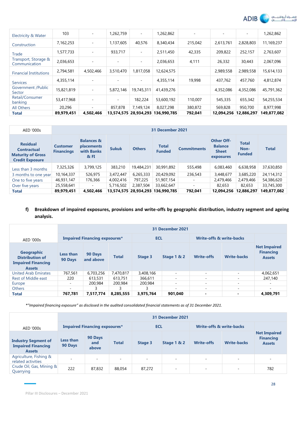

| Electricity & Water                   | 103        | ۰         | 1,262,759                | $\overline{\phantom{a}}$ | 1,262,862                         |         |            |            | 1,262,862   |
|---------------------------------------|------------|-----------|--------------------------|--------------------------|-----------------------------------|---------|------------|------------|-------------|
| Construction                          | 7,162,253  | $\sim$    | 1,137,605                | 40,576                   | 8,340,434                         | 215,042 | 2,613,761  | 2,828,803  | 11,169,237  |
| Trade                                 | 1,577,733  | $\sim$    | 933,717                  | $\overline{\phantom{a}}$ | 2,511,450                         | 42,335  | 209,822    | 252,157    | 2,763,607   |
| Transport, Storage &<br>Communication | 2,036,653  | ۰         | $\overline{\phantom{a}}$ | $\sim$                   | 2,036,653                         | 4,111   | 26,332     | 30,443     | 2,067,096   |
| <b>Financial Institutions</b>         | 2,794,581  | 4,502,466 | 3,510,470                | 1,817,058                | 12,624,575                        |         | 2,989,558  | 2,989,558  | 15,614,133  |
| <b>Services</b>                       | 4,355,114  | ٠         | $\overline{a}$           | $\overline{\phantom{a}}$ | 4,355,114                         | 19,998  | 437,762    | 457,760    | 4,812,874   |
| Government / Public<br>Sector         | 15,821,819 | $\sim$    | 5,872,146                | 19,745,311               | 41,439,276                        |         | 4,352,086  | 4,352,086  | 45,791,362  |
| Retail/Consumer<br>banking            | 53,417,968 | ٠         |                          | 182,224                  | 53,600,192                        | 110,007 | 545,335    | 655,342    | 54,255,534  |
| All Others                            | 20,296     | ۰         | 857.878                  | 7.149.124                | 8,027,298                         | 380,872 | 569,828    | 950,700    | 8,977,998   |
| <b>Total</b>                          | 89,979,451 | 4,502,466 |                          |                          | 13,574,575 28,934,293 136,990,785 | 792,041 | 12,094,256 | 12,886,297 | 149,877,082 |

| AED '000s                                                                                   |                                      | 31 December 2021                                             |              |                       |                               |                          |                                                                  |                                       |              |  |  |
|---------------------------------------------------------------------------------------------|--------------------------------------|--------------------------------------------------------------|--------------|-----------------------|-------------------------------|--------------------------|------------------------------------------------------------------|---------------------------------------|--------------|--|--|
| <b>Residual</b><br><b>Contractual</b><br><b>Maturity of Gross</b><br><b>Credit Exposure</b> | <b>Customer</b><br><b>Financings</b> | <b>Balances &amp;</b><br>placements<br>with Banks<br>$8k$ FI | <b>Sukuk</b> | <b>Others</b>         | <b>Total</b><br><b>Funded</b> | <b>Commitments</b>       | <b>Other Off-</b><br><b>Balance</b><br><b>Sheet</b><br>exposures | <b>Total</b><br>Non-<br><b>Funded</b> | <b>Total</b> |  |  |
| Less than 3 months                                                                          | 7,325,326                            | 3,799,125                                                    | 383,210      | 19,484,231            | 30,991,892                    | 555,498                  | 6,083,460                                                        | 6,638,958                             | 37,630,850   |  |  |
| 3 months to one year                                                                        | 10,164,337                           | 526,975                                                      | 3,472,447    | 6,265,333             | 20,429,092                    | 236,543                  | 3,448,677                                                        | 3,685,220                             | 24,114,312   |  |  |
| One to five years                                                                           | 46,931,147                           | 176,366                                                      | 4,002,416    | 797.225               | 51,907,154                    |                          | 2,479,466                                                        | 2,479,466                             | 54,386,620   |  |  |
| Over five years                                                                             | 25,558,641                           | ۰                                                            | 5,716,502    | 2,387,504             | 33,662,647                    | $\overline{\phantom{a}}$ | 82,653                                                           | 82,653                                | 33,745,300   |  |  |
| <b>Total</b>                                                                                | 89,979,451                           | 4,502,466                                                    |              | 13,574,575 28,934,293 | 136.990.785                   | 792,041                  | 12,094,256                                                       | 12,886,297                            | 149,877,082  |  |  |

# **f) Breakdown of impaired exposures, provisions and write-offs by geographic distribution, industry segment and ageing analysis.**

|                                                                                           | 31 December 2021     |                                                                                           |              |           |                          |                          |                          |                                                          |  |  |  |
|-------------------------------------------------------------------------------------------|----------------------|-------------------------------------------------------------------------------------------|--------------|-----------|--------------------------|--------------------------|--------------------------|----------------------------------------------------------|--|--|--|
| AED '000s                                                                                 |                      | <b>ECL</b><br><b>Write-offs &amp; write-backs</b><br><b>Impaired Financing expsoures*</b> |              |           |                          |                          |                          |                                                          |  |  |  |
| <b>Geographic</b><br><b>Distribution of</b><br><b>Impaired Financing</b><br><b>Assets</b> | Less than<br>90 Days | 90 Days<br>and above                                                                      | <b>Total</b> | Stage 3   | Stage 1 & 2              | <b>Write-offs</b>        | <b>Write-backs</b>       | <b>Net Impaired</b><br><b>Financing</b><br><b>Assets</b> |  |  |  |
| <b>United Arab Emirates</b>                                                               | 767.561              | 6,703,256                                                                                 | 7,470,817    | 3,408,166 | $\overline{\phantom{a}}$ | $\overline{\phantom{a}}$ | $\overline{\phantom{a}}$ | 4,062,651                                                |  |  |  |
| <b>Rest of Middle east</b>                                                                | 220                  | 613,531                                                                                   | 613.751      | 366,611   | $\overline{\phantom{a}}$ | -                        | $\overline{\phantom{a}}$ | 247.140                                                  |  |  |  |
| Europe                                                                                    | $\sim$               | 200,984                                                                                   | 200.984      | 200,984   | $\overline{\phantom{a}}$ | ۰                        | $\overline{a}$           | $\overline{\phantom{0}}$                                 |  |  |  |
| <b>Others</b>                                                                             | ۰                    |                                                                                           |              |           | $\overline{\phantom{a}}$ | -                        | $\overline{\phantom{a}}$ | ۰                                                        |  |  |  |
| <b>Total</b>                                                                              | 767,781              | 7,517,774                                                                                 | 8,285,555    | 3,975,764 | 901,040                  | -                        | $\blacksquare$           | 4,309,791                                                |  |  |  |

*\*"Impaired financing exposure" as disclosed in the audited consolidated financial statements as of 31 December 2021.* 

|                                                                          | 31 December 2021                     |                          |                          |         |                          |                          |                                     |                                                          |  |  |  |
|--------------------------------------------------------------------------|--------------------------------------|--------------------------|--------------------------|---------|--------------------------|--------------------------|-------------------------------------|----------------------------------------------------------|--|--|--|
| AED '000s                                                                | <b>Impaired Financing expsoures*</b> |                          |                          |         | <b>ECL</b>               |                          | <b>Write-offs &amp; write-backs</b> |                                                          |  |  |  |
| <b>Industry Segment of</b><br><b>Impaired Financing</b><br><b>Assets</b> | Less than<br>90 Days                 | 90 Days<br>and<br>above  | <b>Total</b>             | Stage 3 | Stage 1 & 2              | <b>Write-offs</b>        | <b>Write-backs</b>                  | <b>Net Impaired</b><br><b>Financing</b><br><b>Assets</b> |  |  |  |
| Agriculture, Fishing &<br>related activities                             | $\overline{\phantom{a}}$             | $\overline{\phantom{a}}$ | $\overline{\phantom{a}}$ | $\sim$  | $\overline{\phantom{a}}$ | $\sim$                   |                                     | $\overline{\phantom{a}}$                                 |  |  |  |
| Crude Oil, Gas, Mining &<br>Quarrying                                    | 222                                  | 87,832                   | 88,054                   | 87,272  | $\overline{\phantom{a}}$ | $\overline{\phantom{a}}$ |                                     | 782                                                      |  |  |  |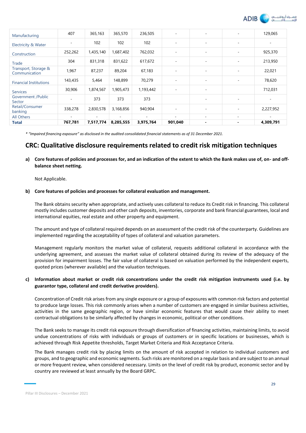

| Manufacturing                         | 407                      | 365,163   | 365,570                  | 236,505   | $\overline{\phantom{a}}$ | $\overline{\phantom{a}}$ | ٠                        | 129,065                  |
|---------------------------------------|--------------------------|-----------|--------------------------|-----------|--------------------------|--------------------------|--------------------------|--------------------------|
| Electricity & Water                   | $\sim$                   | 102       | 102                      | 102       | $\overline{\phantom{a}}$ | $\overline{\phantom{a}}$ | $\sim$                   | $\overline{\phantom{a}}$ |
| Construction                          | 252,262                  | 1,435,140 | 1,687,402                | 762,032   | $\overline{\phantom{a}}$ | $\overline{\phantom{a}}$ | ٠                        | 925,370                  |
| Trade                                 | 304                      | 831,318   | 831,622                  | 617,672   | $\overline{\phantom{a}}$ | $\overline{\phantom{a}}$ | $\sim$                   | 213,950                  |
| Transport, Storage &<br>Communication | 1,967                    | 87,237    | 89,204                   | 67,183    | $\overline{\phantom{a}}$ | $\overline{\phantom{a}}$ | $\overline{\phantom{a}}$ | 22,021                   |
| <b>Financial Institutions</b>         | 143,435                  | 5,464     | 148,899                  | 70,279    | $\overline{\phantom{a}}$ | $\overline{\phantom{a}}$ | ٠                        | 78,620                   |
| <b>Services</b>                       | 30,906                   | 1,874,567 | 1,905,473                | 1,193,442 | $\overline{\phantom{a}}$ | $\overline{\phantom{a}}$ |                          | 712,031                  |
| Government /Public<br>Sector          | $\overline{\phantom{a}}$ | 373       | 373                      | 373       |                          | $\overline{\phantom{a}}$ | ٠                        |                          |
| Retail/Consumer<br>banking            | 338,278                  | 2,830,578 | 3,168,856                | 940,904   | $\overline{\phantom{a}}$ | ٠                        | ٠                        | 2,227,952                |
| All Others                            | ٠                        | ۰         | $\overline{\phantom{a}}$ | ٠         | ٠                        | $\sim$                   | $\sim$                   |                          |
| <b>Total</b>                          | 767,781                  | 7,517,774 | 8,285,555                | 3,975,764 | 901,040                  | $\blacksquare$           | $\blacksquare$           | 4,309,791                |

*\* "Impaired financing exposure" as disclosed in the audited consolidated financial statements as of 31 December 2021.* 

# **CRC: Qualitative disclosure requirements related to credit risk mitigation techniques**

**a) Core features of policies and processes for, and an indication of the extent to which the Bank makes use of, on- and offbalance sheet netting.** 

Not Applicable.

#### **b) Core features of policies and processes for collateral evaluation and management.**

The Bank obtains security when appropriate, and actively uses collateral to reduce its Credit risk in financing. This collateral mostly includes customer deposits and other cash deposits, inventories, corporate and bank financial guarantees, local and international equities, real estate and other property and equipment.

The amount and type of collateral required depends on an assessment of the credit risk of the counterparty. Guidelines are implemented regarding the acceptability of types of collateral and valuation parameters.

Management regularly monitors the market value of collateral, requests additional collateral in accordance with the underlying agreement, and assesses the market value of collateral obtained during its review of the adequacy of the provision for impairment losses. The fair value of collateral is based on valuation performed by the independent experts, quoted prices (wherever available) and the valuation techniques.

## **c) Information about market or credit risk concentrations under the credit risk mitigation instruments used (i.e. by guarantor type, collateral and credit derivative providers).**

Concentration of Credit risk arises from any single exposure or a group of exposures with common risk factors and potential to produce large losses. This risk commonly arises when a number of customers are engaged in similar business activities, activities in the same geographic region, or have similar economic features that would cause their ability to meet contractual obligations to be similarly affected by changes in economic, political or other conditions.

The Bank seeks to manage its credit risk exposure through diversification of financing activities, maintaining limits, to avoid undue concentrations of risks with individuals or groups of customers or in specific locations or businesses, which is achieved through Risk Appetite thresholds, Target Market Criteria and Risk Acceptance Criteria.

The Bank manages credit risk by placing limits on the amount of risk accepted in relation to individual customers and groups, and to geographic and economic segments. Such risks are monitored on a regular basis and are subject to an annual or more frequent review, when considered necessary. Limits on the level of credit risk by product, economic sector and by country are reviewed at least annually by the Board GRPC.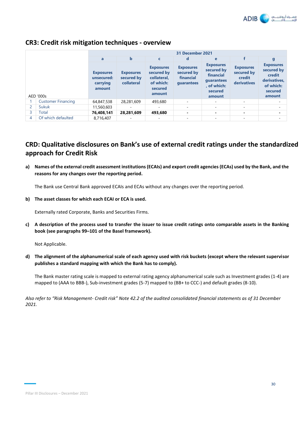

|   |                           | 31 December 2021                                     |                                              |                                                                                 |                                                           |                                                                                               |                                                         |                                                                                            |  |  |  |
|---|---------------------------|------------------------------------------------------|----------------------------------------------|---------------------------------------------------------------------------------|-----------------------------------------------------------|-----------------------------------------------------------------------------------------------|---------------------------------------------------------|--------------------------------------------------------------------------------------------|--|--|--|
|   |                           | a                                                    | b                                            | C                                                                               | d                                                         | e                                                                                             |                                                         | g                                                                                          |  |  |  |
|   | AED '000s                 | <b>Exposures</b><br>unsecured:<br>carrying<br>amount | <b>Exposures</b><br>secured by<br>collateral | <b>Exposures</b><br>secured by<br>collateral,<br>of which:<br>secured<br>amount | <b>Exposures</b><br>secured by<br>financial<br>quarantees | <b>Exposures</b><br>secured by<br>financial<br>quarantees<br>, of which:<br>secured<br>amount | <b>Exposures</b><br>secured by<br>credit<br>derivatives | <b>Exposures</b><br>secured by<br>credit<br>derivatives,<br>of which:<br>secured<br>amount |  |  |  |
|   | <b>Customer Financing</b> | 64,847,538                                           | 28,281,609                                   | 493,680                                                                         | $\overline{\phantom{a}}$                                  | ٠                                                                                             | $\sim$                                                  |                                                                                            |  |  |  |
| 2 | Sukuk                     | 11,560,603                                           |                                              | ۰                                                                               | $\overline{\phantom{a}}$                                  | ٠                                                                                             | ٠                                                       |                                                                                            |  |  |  |
| 3 | Total                     | 76,408,141                                           | 28,281,609                                   | 493,680                                                                         | $\blacksquare$                                            | $\blacksquare$                                                                                | $\blacksquare$                                          |                                                                                            |  |  |  |
| 4 | Of which defaulted        | 8,716,407                                            |                                              | ۰                                                                               | $\overline{\phantom{a}}$                                  | ٠                                                                                             |                                                         |                                                                                            |  |  |  |

# **CR3: Credit risk mitigation techniques - overview**

# **CRD: Qualitative disclosures on Bank's use of external credit ratings under the standardized approach for Credit Risk**

**a) Names of the external credit assessment institutions (ECAIs) and export credit agencies (ECAs) used by the Bank, and the reasons for any changes over the reporting period.** 

The Bank use Central Bank approved ECAIs and ECAs without any changes over the reporting period.

**b) The asset classes for which each ECAI or ECA is used.** 

Externally rated Corporate, Banks and Securities Firms.

**c) A description of the process used to transfer the issuer to issue credit ratings onto comparable assets in the Banking book (see paragraphs 99–101 of the Basel framework).**

Not Applicable.

**d) The alignment of the alphanumerical scale of each agency used with risk buckets (except where the relevant supervisor publishes a standard mapping with which the Bank has to comply).**

The Bank master rating scale is mapped to external rating agency alphanumerical scale such as Investment grades (1-4) are mapped to (AAA to BBB-), Sub-investment grades (5-7) mapped to (BB+ to CCC-) and default grades (8-10).

*Also refer to "Risk Management- Credit risk" Note 42.2 of the audited consolidated financial statements as of 31 December 2021.*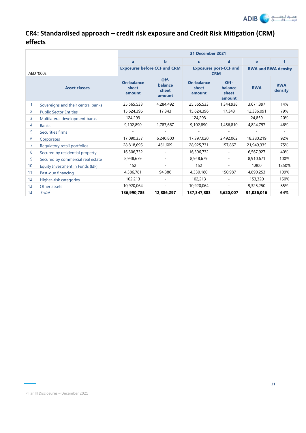

# **CR4: Standardised approach – credit risk exposure and Credit Risk Mitigation (CRM) effects**

|                |                                    |                                      |                                     | 31 December 2021                     |                                             |                            |                          |
|----------------|------------------------------------|--------------------------------------|-------------------------------------|--------------------------------------|---------------------------------------------|----------------------------|--------------------------|
|                |                                    | a                                    | $\mathbf b$                         | $\mathbf c$                          | $\mathbf d$                                 | e                          | f                        |
| AED '000s      |                                    |                                      | <b>Exposures before CCF and CRM</b> |                                      | <b>Exposures post-CCF and</b><br><b>CRM</b> | <b>RWA and RWA density</b> |                          |
|                | <b>Asset classes</b>               | <b>On-balance</b><br>sheet<br>amount | Off-<br>balance<br>sheet<br>amount  | <b>On-balance</b><br>sheet<br>amount | Off-<br>balance<br>sheet<br>amount          | <b>RWA</b>                 | <b>RWA</b><br>density    |
| 1              | Sovereigns and their central banks | 25,565,533                           | 4,284,492                           | 25,565,533                           | 1,344,938                                   | 3,671,397                  | 14%                      |
| 2              | <b>Public Sector Entities</b>      | 15,624,396                           | 17,343                              | 15,624,396                           | 17,343                                      | 12,336,091                 | 79%                      |
| 3              | Multilateral development banks     | 124,293                              |                                     | 124,293                              |                                             | 24,859                     | 20%                      |
| 4              | <b>Banks</b>                       | 9,102,890                            | 1,787,667                           | 9,102,890                            | 1,456,810                                   | 4,824,797                  | 46%                      |
| 5              | Securities firms                   |                                      |                                     | $\overline{\phantom{a}}$             |                                             |                            | $\overline{\phantom{a}}$ |
| 6              | Corporates                         | 17,090,357                           | 6,240,800                           | 17,397,020                           | 2,492,062                                   | 18,380,219                 | 92%                      |
| $\overline{7}$ | Regulatory retail portfolios       | 28,818,695                           | 461,609                             | 28,925,731                           | 157,867                                     | 21,949,335                 | 75%                      |
| 8              | Secured by residential property    | 16,306,732                           | $\blacksquare$                      | 16,306,732                           | $\sim$                                      | 6,567,927                  | 40%                      |
| 9              | Secured by commercial real estate  | 8,948,679                            | $\blacksquare$                      | 8,948,679                            | $\sim$                                      | 8,910,671                  | 100%                     |
| 10             | Equity Investment in Funds (EIF)   | 152                                  |                                     | 152                                  |                                             | 1,900                      | 1250%                    |
| 11             | Past-due financing                 | 4,386,781                            | 94,386                              | 4,330,180                            | 150,987                                     | 4,890,253                  | 109%                     |
| 12             | Higher-risk categories             | 102,213                              |                                     | 102,213                              |                                             | 153,320                    | 150%                     |
| 13             | Other assets                       | 10,920,064                           | $\overline{\phantom{a}}$            | 10,920,064                           | ÷                                           | 9,325,250                  | 85%                      |
| 14             | Total                              | 136,990,785                          | 12,886,297                          | 137,347,883                          | 5,620,007                                   | 91,036,016                 | 64%                      |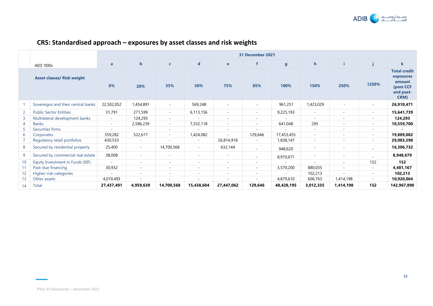

# **CR5: Standardised approach – exposures by asset classes and risk weights**

|                 |                                    | 31 December 2021 |                          |                          |             |                          |                          |              |                          |                          |                          |                                                                              |
|-----------------|------------------------------------|------------------|--------------------------|--------------------------|-------------|--------------------------|--------------------------|--------------|--------------------------|--------------------------|--------------------------|------------------------------------------------------------------------------|
|                 | AED '000s                          | $\mathbf{a}$     | $\mathbf b$              | $\mathbf{C}$             | $\mathbf d$ | $\mathbf{e}$             |                          | $\mathbf{g}$ | $\mathbf{h}$             |                          |                          | k                                                                            |
|                 | <b>Asset classes/ Risk weight</b>  | 0%               | 20%                      | 35%                      | 50%         | 75%                      | 85%                      | 100%         | 150%                     | 250%                     | 1250%                    | <b>Total credit</b><br>exposures<br>amount<br>(post CCF<br>and post-<br>CRM) |
|                 | Sovereigns and their central banks | 22,502,052       | 1,454,891                | $\sim$                   | 569,248     | $\sim$                   | $\sim$                   | 961,251      | 1,423,029                | $\sim$                   | $\sim$                   | 26,910,471                                                                   |
| $\overline{2}$  | <b>Public Sector Entities</b>      | 31,791           | 271,599                  | $\overline{\phantom{a}}$ | 6,113,156   | $\sim$                   | $\sim$                   | 9,225,193    | ÷.                       | ٠                        | $\overline{\phantom{a}}$ | 15,641,739                                                                   |
| 3               | Multilateral development banks     | $\sim$           | 124,293                  | $\overline{\phantom{a}}$ |             | $\overline{\phantom{a}}$ | $\overline{\phantom{0}}$ |              | $\overline{\phantom{a}}$ | $\overline{\phantom{a}}$ | $\sim$                   | 124,293                                                                      |
| 4               | <b>Banks</b>                       | $\sim$           | 2,586,239                | $\sim$                   | 7,332,118   | $\overline{\phantom{a}}$ | $\overline{\phantom{a}}$ | 641,048      | 295                      | $\overline{\phantom{a}}$ | $\overline{\phantom{a}}$ | 10,559,700                                                                   |
| 5               | Securities firms                   | $\sim$           |                          | $\sim$                   |             | $\overline{\phantom{a}}$ |                          |              | $\overline{\phantom{a}}$ | $\overline{\phantom{a}}$ | $\overline{\phantom{a}}$ |                                                                              |
| 6               | Corporates                         | 359,282          | 522,617                  | $\sim$                   | 1,424,082   | ٠                        | 129,646                  | 17,453,455   | $\overline{\phantom{a}}$ | $\sim$                   | $\overline{\phantom{a}}$ | 19,889,082                                                                   |
|                 | Regulatory retail portfolios       | 430,533          | $\overline{\phantom{a}}$ | $\overline{\phantom{a}}$ | $\sim$      | 26,814,918               | $\sim$                   | 1,838,147    | $\overline{\phantom{a}}$ | $\overline{\phantom{a}}$ | $\overline{\phantom{a}}$ | 29,083,598                                                                   |
| 8               | Secured by residential property    | 25,400           | $\sim$                   | 14,700,568               | $\sim$      | 632,144                  | $\sim$                   | 948,620      | $\overline{\phantom{a}}$ | $\overline{\phantom{a}}$ | ÷                        | 16,306,732                                                                   |
| 9               | Secured by commercial real estate  | 38,008           | $\overline{\phantom{a}}$ | $\overline{\phantom{a}}$ | $\sim$      | $\overline{\phantom{a}}$ | $\overline{a}$           | 8,910,671    |                          | $\overline{\phantom{a}}$ |                          | 8,948,679                                                                    |
| 10              | Equity Investment in Funds (EIF)   |                  | $\overline{\phantom{a}}$ | $\overline{\phantom{a}}$ | ٠           | $\overline{\phantom{a}}$ | $\overline{\phantom{a}}$ |              |                          | $\overline{\phantom{a}}$ | 152                      | 152                                                                          |
| 11              | Past-due financing                 | 30,932           |                          | $\overline{\phantom{a}}$ | ٠           | $\overline{\phantom{a}}$ | $\overline{\phantom{0}}$ | 3,570,200    | 880,035                  | $\overline{\phantom{a}}$ | $\overline{\phantom{a}}$ | 4,481,167                                                                    |
| 12              | Higher-risk categories             |                  | $\overline{\phantom{a}}$ | $\overline{\phantom{a}}$ | ۰           | $\overline{\phantom{a}}$ |                          |              | 102,213                  |                          | $\overline{\phantom{a}}$ | 102,213                                                                      |
| 13 <sup>2</sup> | Other assets                       | 4,019,493        |                          |                          |             |                          |                          | 4,879,610    | 606,763                  | 1,414,198                | $\overline{\phantom{a}}$ | 10,920,064                                                                   |
| 14              | Total                              | 27,437,491       | 4,959,639                | 14,700,568               | 15,438,604  | 27,447,062               | 129,646                  | 48,428,195   | 3,012,335                | 1,414,198                | 152                      | 142,967,890                                                                  |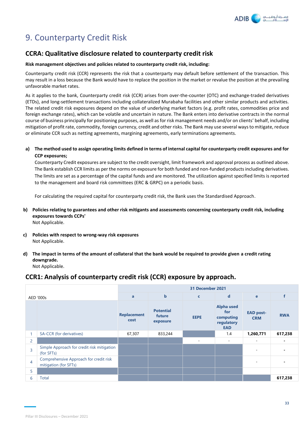

# 9. Counterparty Credit Risk

# **CCRA: Qualitative disclosure related to counterparty credit risk**

### **Risk management objectives and policies related to counterparty credit risk, including:**

Counterparty credit risk (CCR) represents the risk that a counterparty may default before settlement of the transaction. This may result in a loss because the Bank would have to replace the position in the market or revalue the position at the prevailing unfavorable market rates.

As it applies to the bank, Counterparty credit risk (CCR) arises from over-the-counter (OTC) and exchange-traded derivatives (ETDs), and long-settlement transactions including collateralized Murabaha facilities and other similar products and activities. The related credit risk exposures depend on the value of underlying market factors (e.g. profit rates, commodities price and foreign exchange rates), which can be volatile and uncertain in nature. The Bank enters into derivative contracts in the normal course of business principally for positioning purposes, as well as for risk management needs and/or on clients' behalf, including mitigation of profit rate, commodity, foreign currency, credit and other risks. The Bank may use several ways to mitigate, reduce or eliminate CCR such as netting agreements, margining agreements, early terminations agreements.

# **a) The method used to assign operating limits defined in terms of internal capital for counterparty credit exposures and for CCP exposures;**

Counterparty Credit exposures are subject to the credit oversight, limit framework and approval process as outlined above. The Bank establish CCR limits as per the norms on exposure for both funded and non-funded products including derivatives. The limits are set as a percentage of the capital funds and are monitored. The utilization against specified limits is reported to the management and board risk committees (ERC & GRPC) on a periodic basis.

For calculating the required capital for counterparty credit risk, the Bank uses the Standardised Approach.

- **b) Policies relating to guarantees and other risk mitigants and assessments concerning counterparty credit risk, including exposures towards CCPs'** Not Applicable.
- **c) Policies with respect to wrong-way risk exposures** Not Applicable.
- **d) The impact in terms of the amount of collateral that the bank would be required to provide given a credit rating downgrade.** Not Applicable.

# **CCR1: Analysis of counterparty credit risk (CCR) exposure by approach.**

|                |                                                                 | 31 December 2021           |                                        |                          |                                                                   |                                |            |  |  |  |
|----------------|-----------------------------------------------------------------|----------------------------|----------------------------------------|--------------------------|-------------------------------------------------------------------|--------------------------------|------------|--|--|--|
|                | AED '000s                                                       | a                          | $\mathbf b$                            | $\mathbf{C}$             | $\mathbf d$                                                       | $\mathbf{e}$                   |            |  |  |  |
|                |                                                                 | <b>Replacement</b><br>cost | <b>Potential</b><br>future<br>exposure | <b>EEPE</b>              | <b>Alpha used</b><br>for<br>computing<br>regulatory<br><b>EAD</b> | <b>EAD post-</b><br><b>CRM</b> | <b>RWA</b> |  |  |  |
| 1              | SA-CCR (for derivatives)                                        | 67,307                     | 833,244                                |                          | 1.4                                                               | 1,260,771                      | 617,238    |  |  |  |
| 2              |                                                                 |                            |                                        | $\overline{\phantom{a}}$ | $\overline{\phantom{a}}$                                          | ٠                              |            |  |  |  |
| 3              | Simple Approach for credit risk mitigation<br>(for SFTs)        |                            |                                        |                          |                                                                   | $\overline{\phantom{a}}$       |            |  |  |  |
| $\overline{4}$ | Comprehensive Approach for credit risk<br>mitigation (for SFTs) |                            |                                        |                          |                                                                   |                                |            |  |  |  |
| 5              |                                                                 |                            |                                        |                          |                                                                   |                                |            |  |  |  |
| 6              | <b>Total</b>                                                    |                            |                                        |                          |                                                                   |                                | 617,238    |  |  |  |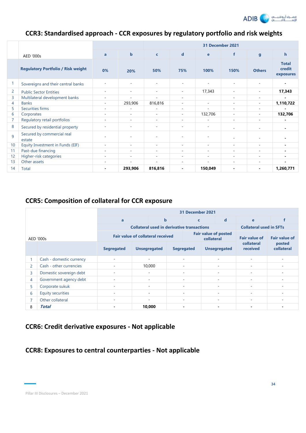

# **CCR3: Standardised approach - CCR exposures by regulatory portfolio and risk weights**

|    |                                           |                          |                          | 31 December 2021         |                |                          |                          |                          |                                     |  |
|----|-------------------------------------------|--------------------------|--------------------------|--------------------------|----------------|--------------------------|--------------------------|--------------------------|-------------------------------------|--|
|    | AED '000s                                 | a                        | $\mathbf b$              | $\mathbf{C}$             | $\mathbf d$    | e                        | f                        | $\mathbf{g}$             | $\mathbf h$                         |  |
|    | <b>Regulatory Portfolio / Risk weight</b> | 0%                       | 20%                      | 50%                      | 75%            | 100%                     | 150%                     | <b>Others</b>            | <b>Total</b><br>credit<br>exposures |  |
|    | Sovereigns and their central banks        | ٠                        |                          | ٠                        | $\overline{a}$ |                          | $\overline{a}$           |                          | $\blacksquare$                      |  |
| 2  | <b>Public Sector Entities</b>             | $\sim$                   | $\overline{\phantom{a}}$ | $\sim$                   | $\sim$         | 17,343                   | $\overline{\phantom{a}}$ | $\sim$                   | 17,343                              |  |
| 3  | Multilateral development banks            | $\sim$                   | $\overline{\phantom{a}}$ | $\sim$                   | $\sim$         |                          | $\overline{\phantom{a}}$ | $\sim$                   | $\blacksquare$                      |  |
| 4  | <b>Banks</b>                              | $\sim$                   | 293,906                  | 816,816                  | ٠              | $\sim$                   | $\overline{\phantom{a}}$ | $\sim$                   | 1,110,722                           |  |
| 5  | Securities firms                          | $\sim$                   |                          | $\overline{\phantom{a}}$ | ۰              | ÷                        | $\overline{\phantom{a}}$ | ٠                        |                                     |  |
| 6  | Corporates                                | $\sim$                   | $\sim$                   | $\sim$                   | $\sim$         | 132,706                  | $\overline{\phantom{a}}$ | $\sim$                   | 132,706                             |  |
|    | Regulatory retail portfolios              | $\overline{\phantom{a}}$ | ٠                        | $\sim$                   | $\sim$         |                          | $\overline{\phantom{a}}$ | ۰                        |                                     |  |
| 8  | Secured by residential property           | ÷                        |                          | $\sim$                   | ٠              | ۰                        | ۰                        |                          | $\blacksquare$                      |  |
| 9  | Secured by commercial real<br>estate      | ٠                        |                          | ٠                        | ٠              | ٠                        | $\overline{\phantom{a}}$ | $\overline{\phantom{a}}$ | $\blacksquare$                      |  |
| 10 | Equity Investment in Funds (EIF)          | $\sim$                   | $\sim$                   | $\sim$                   | $\sim$         | $\sim$                   | $\overline{\phantom{a}}$ | $\sim$                   | $\blacksquare$                      |  |
| 11 | Past-due financing                        | $\sim$                   | $\sim$                   | $\sim$                   | ۰              | $\sim$                   | $\overline{\phantom{a}}$ | ٠                        | $\blacksquare$                      |  |
| 12 | Higher-risk categories                    | $\sim$                   | $\sim$                   | $\sim$                   | $\sim$         | $\overline{\phantom{a}}$ | $\overline{\phantom{a}}$ | $\sim$                   |                                     |  |
| 13 | Other assets                              | ٠                        |                          | ٠                        | ۰              |                          | $\overline{\phantom{a}}$ | ٠                        | $\blacksquare$                      |  |
| 14 | Total                                     | $\overline{\phantom{0}}$ | 293,906                  | 816,816                  | ٠              | 150,049                  | $\blacksquare$           | $\overline{\phantom{0}}$ | 1,260,771                           |  |

# **CCR5: Composition of collateral for CCR exposure**

|                                    |                          | 31 December 2021                                  |                          |             |                   |                             |                      |                          |                                |                      |
|------------------------------------|--------------------------|---------------------------------------------------|--------------------------|-------------|-------------------|-----------------------------|----------------------|--------------------------|--------------------------------|----------------------|
|                                    |                          | a                                                 |                          | $\mathbf b$ |                   | $\mathbf{C}$                |                      | d                        | e                              |                      |
|                                    |                          | <b>Collateral used in derivative transactions</b> |                          |             |                   |                             |                      |                          | <b>Collateral used in SFTs</b> |                      |
|                                    | AED '000s                | <b>Fair value of collateral received</b>          |                          |             | collateral        | <b>Fair value of posted</b> | <b>Fair value of</b> | <b>Fair value of</b>     |                                |                      |
|                                    |                          | <b>Segregated</b>                                 | <b>Unsegregated</b>      |             | <b>Segregated</b> |                             |                      | <b>Unsegregated</b>      | collateral<br>received         | posted<br>collateral |
|                                    | Cash - domestic currency | ۰                                                 | $\overline{\phantom{a}}$ |             |                   | ٠                           |                      | $\overline{\phantom{a}}$ |                                | ۰                    |
| 2                                  | Cash - other currencies  | ٠                                                 | 10,000                   |             |                   | ٠                           |                      | $\overline{\phantom{a}}$ |                                | $\sim$               |
| 3                                  | Domestic sovereign debt  | $\overline{\phantom{a}}$                          |                          |             |                   | ٠                           |                      |                          |                                | $\sim$               |
| 4                                  | Government agency debt   | ٠                                                 | ٠                        |             |                   | ٠                           |                      |                          |                                | ۰                    |
| 5                                  | Corporate sukuk          | $\overline{\phantom{a}}$                          |                          |             |                   | $\sim$                      |                      |                          |                                | $\sim$               |
| 6                                  | <b>Equity securities</b> | ٠                                                 | ٠                        |             |                   | ٠                           |                      | ۰                        |                                | $\sim$               |
| Other collateral<br>$\overline{7}$ |                          | $\overline{\phantom{a}}$                          |                          |             |                   | $\sim$                      |                      |                          |                                | $\sim$               |
| 8                                  | Total                    |                                                   | 10,000                   |             | $\blacksquare$    |                             |                      |                          |                                | -                    |

# **CCR6: Credit derivative exposures - Not applicable**

# **CCR8: Exposures to central counterparties - Not applicable**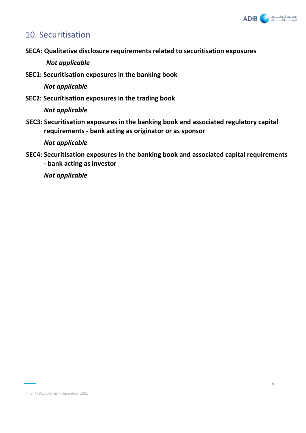

# 10. Securitisation

**SECA: Qualitative disclosure requirements related to securitisation exposures** 

*Not applicable*

**SEC1: Securitisation exposures in the banking book** 

*Not applicable*

**SEC2: Securitisation exposures in the trading book** 

*Not applicable*

**SEC3: Securitisation exposures in the banking book and associated regulatory capital requirements - bank acting as originator or as sponsor** 

*Not applicable*

**SEC4: Securitisation exposures in the banking book and associated capital requirements - bank acting as investor**

*Not applicable*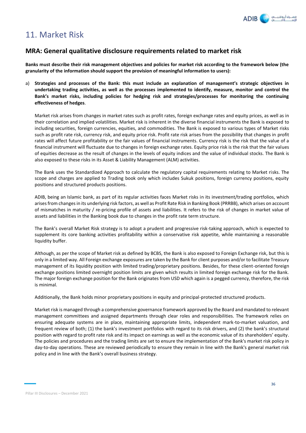

# 11. Market Risk

# **MRA: General qualitative disclosure requirements related to market risk**

**Banks must describe their risk management objectives and policies for market risk according to the framework below (the granularity of the information should support the provision of meaningful information to users):**

a) **Strategies and processes of the Bank: this must include an explanation of management's strategic objectives in undertaking trading activities, as well as the processes implemented to identify, measure, monitor and control the Bank's market risks, including policies for hedging risk and strategies/processes for monitoring the continuing effectiveness of hedges**.

Market risk arises from changes in market rates such as profit rates, foreign exchange rates and equity prices, as well as in their correlation and implied volatilities. Market risk is inherent in the diverse financial instruments the Bank is exposed to including securities, foreign currencies, equities, and commodities. The Bank is exposed to various types of Market risks such as profit rate risk, currency risk, and equity price risk. Profit rate risk arises from the possibility that changes in profit rates will affect future profitability or the fair values of financial instruments. Currency risk is the risk that the value of a financial instrument will fluctuate due to changes in foreign exchange rates. Equity price risk is the risk that the fair values of equities decrease as the result of changes in the levels of equity indices and the value of individual stocks. The Bank is also exposed to these risks in its Asset & Liability Management (ALM) activities.

The Bank uses the Standardized Approach to calculate the regulatory capital requirements relating to Market risks. The scope and charges are applied to Trading book only which includes Sukuk positions, foreign currency positions, equity positions and structured products positions.

ADIB, being an Islamic bank, as part of its regular activities faces Market risks in its investment/trading portfolios, which arises from changes in its underlying risk factors, as well as Profit Rate Risk in Banking Book (PRRBB), which arises on account of mismatches in maturity / re-pricing profile of assets and liabilities. It refers to the risk of changes in market value of assets and liabilities in the Banking book due to changes in the profit rate term structure.

The Bank's overall Market Risk strategy is to adopt a prudent and progressive risk-taking approach, which is expected to supplement its core banking activities profitability within a conservative risk appetite, while maintaining a reasonable liquidity buffer.

Although, as per the scope of Market risk as defined by BCBS, the Bank is also exposed to Foreign Exchange risk, but this is only in a limited way. All Foreign exchange exposures are taken by the Bank for client purposes and/or to facilitate Treasury management of its liquidity position with limited trading/proprietary positions. Besides, for these client-oriented foreign exchange positions limited overnight position limits are given which results in limited foreign exchange risk for the Bank. The major foreign exchange position for the Bank originates from USD which again is a pegged currency, therefore, the risk is minimal.

Additionally, the Bank holds minor proprietary positions in equity and principal-protected structured products.

Market risk is managed through a comprehensive governance framework approved by the Board and mandated to relevant management committees and assigned departments through clear roles and responsibilities. The framework relies on ensuring adequate systems are in place, maintaining appropriate limits, independent mark-to-market valuation, and frequent review of both; (1) the bank's investment portfolios with regard to its risk drivers, and (2) the bank's structural position with regard to profit rate risk and its impact on earnings as well as the economic value of its shareholders' equity. The policies and procedures and the trading limits are set to ensure the implementation of the Bank's market risk policy in day-to-day operations. These are reviewed periodically to ensure they remain in line with the Bank's general market risk policy and in line with the Bank's overall business strategy.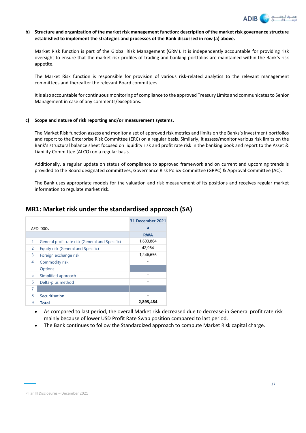

### **b) Structure and organization of the market risk management function: description of the market risk governance structure established to implement the strategies and processes of the Bank discussed in row (a) above.**

Market Risk function is part of the Global Risk Management (GRM). It is independently accountable for providing risk oversight to ensure that the market risk profiles of trading and banking portfolios are maintained within the Bank's risk appetite.

The Market Risk function is responsible for provision of various risk-related analytics to the relevant management committees and thereafter the relevant Board committees.

It is also accountable for continuous monitoring of compliance to the approved Treasury Limits and communicates to Senior Management in case of any comments/exceptions.

### **c) Scope and nature of risk reporting and/or measurement systems.**

The Market Risk function assess and monitor a set of approved risk metrics and limits on the Banks's investment portfolios and report to the Enterprise Risk Committee (ERC) on a regular basis. Similarly, it assess/monitor various risk limits on the Bank's structural balance sheet focused on liquidity risk and profit rate risk in the banking book and report to the Asset & Liability Committee (ALCO) on a regular basis.

Additionally, a regular update on status of compliance to approved framework and on current and upcoming trends is provided to the Board designated committees; Governance Risk Policy Committee (GRPC) & Approval Committee (AC).

The Bank uses appropriate models for the valuation and risk measurement of its positions and receives regular market information to regulate market risk.

# **MR1: Market risk under the standardised approach (SA)**

|   |                                                 | 31 December 2021 |
|---|-------------------------------------------------|------------------|
|   | AED '000s                                       | a                |
|   |                                                 | <b>RWA</b>       |
| 1 | General profit rate risk (General and Specific) | 1,603,864        |
| 2 | Equity risk (General and Specific)              | 42,964           |
| 3 | Foreign exchange risk                           | 1,246,656        |
| 4 | Commodity risk                                  |                  |
|   | <b>Options</b>                                  |                  |
| 5 | Simplified approach                             | ٠                |
| 6 | Delta-plus method                               |                  |
| 7 |                                                 |                  |
| 8 | Securitisation                                  |                  |
| 9 | Total                                           | 2,893,484        |

- As compared to last period, the overall Market risk decreased due to decrease in General profit rate risk mainly because of lower USD Profit Rate Swap position compared to last period.
- The Bank continues to follow the Standardized approach to compute Market Risk capital charge.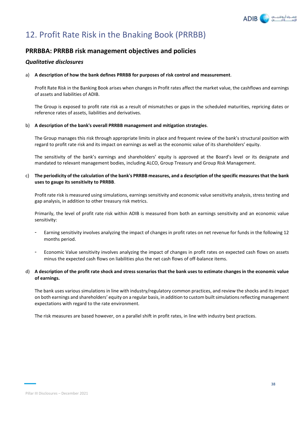

# 12. Profit Rate Risk in the Bnaking Book (PRRBB)

# **PRRBBA: PRRBB risk management objectives and policies**

# *Qualitative disclosures*

### a) **A description of how the bank defines PRRBB for purposes of risk control and measurement**.

Profit Rate Risk in the Banking Book arises when changes in Profit rates affect the market value, the cashflows and earnings of assets and liabilities of ADIB.

The Group is exposed to profit rate risk as a result of mismatches or gaps in the scheduled maturities, repricing dates or reference rates of assets, liabilities and derivatives.

### b) **A description of the bank's overall PRRBB management and mitigation strategies**.

The Group manages this risk through appropriate limits in place and frequent review of the bank's structural position with regard to profit rate risk and its impact on earnings as well as the economic value of its shareholders' equity.

The sensitivity of the bank's earnings and shareholders' equity is approved at the Board's level or its designate and mandated to relevant management bodies, including ALCO, Group Treasury and Group Risk Management.

### c) **The periodicity of the calculation of the bank's PRRBB measures, and a description of the specific measures that the bank uses to gauge its sensitivity to PRRBB**.

Profit rate risk is measured using simulations, earnings sensitivity and economic value sensitivity analysis, stress testing and gap analysis, in addition to other treasury risk metrics.

Primarily, the level of profit rate risk within ADIB is measured from both an earnings sensitivity and an economic value sensitivity:

- Earning sensitivity involves analyzing the impact of changes in profit rates on net revenue for funds in the following 12 months period.
- Economic Value sensitivity involves analyzing the impact of changes in profit rates on expected cash flows on assets minus the expected cash flows on liabilities plus the net cash flows of off-balance items.
- d) **A description of the profit rate shock and stress scenarios that the bank uses to estimate changes in the economic value of earnings.**

The bank uses various simulations in line with industry/regulatory common practices, and review the shocks and its impact on both earnings and shareholders' equity on a regular basis, in addition to custom built simulations reflecting management expectations with regard to the rate environment.

The risk measures are based however, on a parallel shift in profit rates, in line with industry best practices.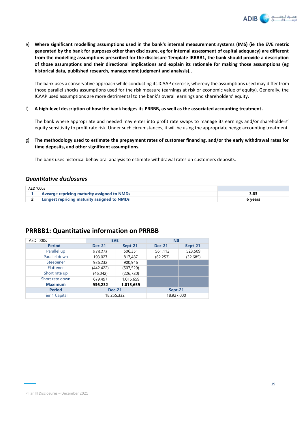

e) **Where significant modelling assumptions used in the bank's internal measurement systems (IMS) (ie the EVE metric generated by the bank for purposes other than disclosure, eg for internal assessment of capital adequacy) are different from the modelling assumptions prescribed for the disclosure Template IRRBB1, the bank should provide a description of those assumptions and their directional implications and explain its rationale for making those assumptions (eg historical data, published research, management judgment and analysis).**.

The bank uses a conservative approach while conducting its ICAAP exercise, whereby the assumptions used may differ from those parallel shocks assumptions used for the risk measure (earnings at risk or economic value of equity). Generally, the ICAAP used assumptions are more detrimental to the bank's overall earnings and shareholders' equity.

f) **A high-level description of how the bank hedges its PRRBB, as well as the associated accounting treatment.**

The bank where appropriate and needed may enter into profit rate swaps to manage its earnings and/or shareholders' equity sensitivity to profit rate risk. Under such circumstances, it will be using the appropriate hedge accounting treatment.

g) **The methodology used to estimate the prepayment rates of customer financing, and/or the early withdrawal rates for time deposits, and other significant assumptions.**

The bank uses historical behavioral analysis to estimate withdrawal rates on customers deposits.

# *Quantitative disclosures*

| AED '000s |                                                    |         |
|-----------|----------------------------------------------------|---------|
|           | <b>Avearge repricing maturity assigned to NMDs</b> |         |
|           | 2   Longest repricing maturity assigned to NMDs    | vears ( |

# **PRRBB1: Quantitative information on PRRBB**

| AED '000s             |               | <b>EVE</b> | <b>NII</b>    |           |  |
|-----------------------|---------------|------------|---------------|-----------|--|
| <b>Period</b>         | <b>Dec-21</b> | Sept-21    | <b>Dec-21</b> | Sept-21   |  |
| Parallel up           | 878,273       | 506,351    | 561,112       | 523,509   |  |
| Parallel down         | 193,027       | 817,487    | (62, 253)     | (32, 685) |  |
| Steepener             | 936,232       | 900.946    |               |           |  |
| Flattener             | (442, 422)    | (507, 529) |               |           |  |
| Short rate up         | (46, 042)     | (226, 720) |               |           |  |
| Short rate down       | 679,497       | 1,015,659  |               |           |  |
| <b>Maximum</b>        | 936,232       | 1,015,659  |               |           |  |
| <b>Period</b>         | <b>Dec-21</b> |            | Sept-21       |           |  |
| <b>Tier 1 Capital</b> |               | 18,255,332 | 18,927,000    |           |  |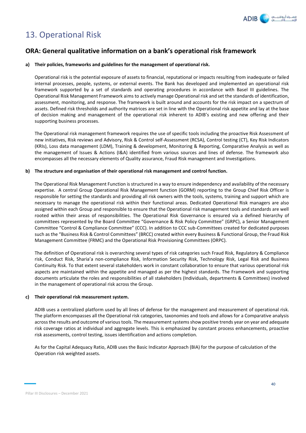

# 13. Operational Risk

# **ORA: General qualitative information on a bank's operational risk framework**

## **a) Their policies, frameworks and guidelines for the management of operational risk.**

Operational risk is the potential exposure of assets to financial, reputational or impacts resulting from inadequate or failed internal processes, people, systems, or external events. The Bank has developed and implemented an operational risk framework supported by a set of standards and operating procedures in accordance with Basel III guidelines. The Operational Risk Management Framework aims to actively manage Operational risk and set the standards of identification, assessment, monitoring, and response. The framework is built around and accounts for the risk impact on a spectrum of assets. Defined risk thresholds and authority matrices are set in line with the Operational risk appetite and lay at the base of decision making and management of the operational risk inherent to ADIB's existing and new offering and their supporting business processes.

The Operational risk management framework requires the use of specific tools including the proactive Risk Assessment of new initiatives, Risk reviews and Advisory, Risk & Control self-Assessment (RCSA), Control testing (CT), Key Risk Indicators (KRIs), Loss data management (LDM), Training & development, Monitoring & Reporting, Comparative Analysis as well as the management of Issues & Actions (I&A) identified from various sources and lines of defense. The framework also encompasses all the necessary elements of Quality assurance, Fraud Risk management and Investigations.

### **b) The structure and organisation of their operational risk management and control function.**

The Operational Risk Management Function is structured in a way to ensure independency and availability of the necessary expertise. A central Group Operational Risk Management function (GORM) reporting to the Group Chief Risk Officer is responsible for setting the standards and providing all risk owners with the tools, systems, training and support which are necessary to manage the operational risk within their functional areas. Dedicated Operational Risk managers are also assigned within each Group and responsible to ensure that the Operational risk management tools and standards are well rooted within their areas of responsibilities. The Operational Risk Governance is ensured via a defined hierarchy of committees represented by the Board Committee "Governance & Risk Policy Committee" (GRPC), a Senior Management Committee "Control & Compliance Committee" (CCC). In addition to CCC sub-Committees created for dedicated purposes such as the "Business Risk & Control Committees" (BRCC) created within every Business & Functional Group, the Fraud Risk Management Committee (FRMC) and the Operational Risk Provisioning Committees (ORPC).

The definition of Operational risk is overarching several types of risk categories such Fraud Risk, Regulatory & Compliance risk, Conduct Risk, Sharia'a non-compliance Risk, Information Security Risk, Technology Risk, Legal Risk and Business Continuity Risk. To that extent several stakeholders work in constant collaboration to ensure that various operational risk aspects are maintained within the appetite and managed as per the highest standards. The Framework and supporting documents articulate the roles and responsibilities of all stakeholders (Individuals, departments & Committees) involved in the management of operational risk across the Group.

#### **c) Their operational risk measurement system.**

ADIB uses a centralized platform used by all lines of defense for the management and measurement of operational risk. The platform encompasses all the Operational risk categories, taxonomies and tools and allows for a Comparative analysis across the results and outcome of various tools. The measurement systems show positive trends year on year and adequate risk coverage ratios at individual and aggregate levels. This is emphasized by constant process enhancements, proactive risk assessments, control testing, issues identification and actions completion.

As for the Capital Adequacy Ratio, ADIB uses the Basic Indicator Approach (BIA) for the purpose of calculation of the Operation risk weighted assets.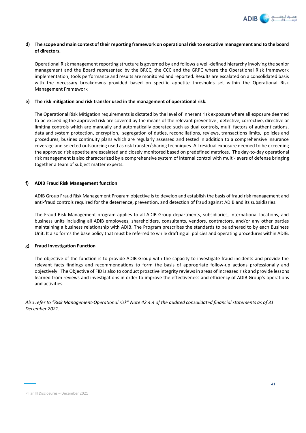

### **d) The scope and main context of their reporting framework on operational risk to executive management and to the board of directors.**

Operational Risk management reporting structure is governed by and follows a well-defined hierarchy involving the senior management and the Board represented by the BRCC, the CCC and the GRPC where the Operational Risk framework implementation, tools performance and results are monitored and reported. Results are escalated on a consolidated basis with the necessary breakdowns provided based on specific appetite thresholds set within the Operational Risk Management Framework

#### **e) The risk mitigation and risk transfer used in the management of operational risk.**

The Operational Risk Mitigation requirements is dictated by the level of Inherent risk exposure where all exposure deemed to be exceeding the approved risk are covered by the means of the relevant preventive , detective, corrective, directive or limiting controls which are manually and automatically operated such as dual controls, multi factors of authentications, data and system protection, encryption, segregation of duties, reconciliations, reviews, transactions limits, policies and procedures, busines continuity plans which are regularly assessed and tested in addition to a comprehensive insurance coverage and selected outsourcing used as risk transfer/sharing techniques. All residual exposure deemed to be exceeding the approved risk appetite are escalated and closely monitored based on predefined matrices. The day-to-day operational risk management is also characterized by a comprehensive system of internal control with multi-layers of defense bringing together a team of subject matter experts.

### **f) ADIB Fraud Risk Management function**

ADIB Group Fraud Risk Management Program objective is to develop and establish the basis of fraud risk management and anti-fraud controls required for the deterrence, prevention, and detection of fraud against ADIB and its subsidiaries.

The Fraud Risk Management program applies to all ADIB Group departments, subsidiaries, international locations, and business units including all ADIB employees, shareholders, consultants, vendors, contractors, and/or any other parties maintaining a business relationship with ADIB. The Program prescribes the standards to be adhered to by each Business Unit. It also forms the base policy that must be referred to while drafting all policies and operating procedures within ADIB.

### **g) Fraud Investigation Function**

The objective of the function is to provide ADIB Group with the capacity to investigate fraud incidents and provide the relevant facts findings and recommendations to form the basis of appropriate follow-up actions professionally and objectively. The Objective of FID is also to conduct proactive integrity reviews in areas of increased risk and provide lessons learned from reviews and investigations in order to improve the effectiveness and efficiency of ADIB Group's operations and activities.

*Also refer to "Risk Management-Operational risk" Note 42.4.4 of the audited consolidated financial statements as of 31 December 2021.*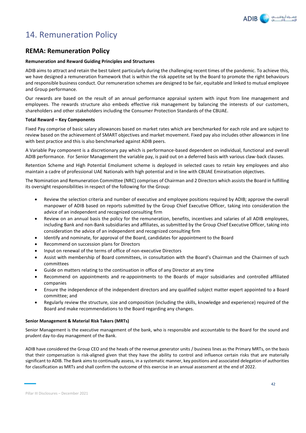

# 14. Remuneration Policy

# **REMA: Remuneration Policy**

#### **Remuneration and Reward Guiding Principles and Structures**

ADIB aims to attract and retain the best talent particularly during the challenging recent times of the pandemic. To achieve this, we have designed a remuneration framework that is within the risk appetite set by the Board to promote the right behaviours and responsible business conduct. Our remuneration schemes are designed to be fair, equitable and linked to mutual employee and Group performance.

Our rewards are based on the result of an annual performance appraisal system with input from line management and employees. The rewards structure also embeds effective risk management by balancing the interests of our customers, shareholders and other stakeholders including the Consumer Protection Standards of the CBUAE.

#### **Total Reward – Key Components**

Fixed Pay comprise of basic salary allowances based on market rates which are benchmarked for each role and are subject to review based on the achievement of SMART objectives and market movement. Fixed pay also includes other allowances in line with best practice and this is also benchmarked against ADIB peers.

A Variable Pay component is a discretionary pay which is performance-based dependent on individual, functional and overall ADIB performance. For Senior Management the variable pay, is paid out on a deferred basis with various claw-back clauses.

Retention Scheme and High Potential Emolument scheme is deployed in selected cases to retain key employees and also maintain a cadre of professional UAE Nationals with high potential and in line with CBUAE Emiratisation objectives.

The Nomination and Remuneration Committee (NRC) comprises of Chairman and 2 Directors which assists the Board in fulfilling its oversight responsibilities in respect of the following for the Group:

- Review the selection criteria and number of executive and employee positions required by ADIB; approve the overall manpower of ADIB based on reports submitted by the Group Chief Executive Officer, taking into consideration the advice of an independent and recognized consulting firm
- Review on an annual basis the policy for the remuneration, benefits, incentives and salaries of all ADIB employees, including Bank and non-Bank subsidiaries and affiliates, as submitted by the Group Chief Executive Officer, taking into consideration the advice of an independent and recognized consulting firm
- Identify and nominate, for approval of the Board, candidates for appointment to the Board
- Recommend on succession plans for Directors
- Input on renewal of the terms of office of non-executive Directors
- Assist with membership of Board committees, in consultation with the Board's Chairman and the Chairmen of such committees
- Guide on matters relating to the continuation in office of any Director at any time
- Recommend on appointments and re-appointments to the Boards of major subsidiaries and controlled affiliated companies
- Ensure the independence of the independent directors and any qualified subject matter expert appointed to a Board committee; and
- Regularly review the structure, size and composition (including the skills, knowledge and experience) required of the Board and make recommendations to the Board regarding any changes.

#### **Senior Management & Material Risk Takers (MRTs)**

Senior Management is the executive management of the bank, who is responsible and accountable to the Board for the sound and prudent day-to-day management of the Bank.

ADIB have considered the Group CEO and the heads of the revenue generator units / business lines as the Primary MRTs, on the basis that their compensation is risk-aligned given that they have the ability to control and influence certain risks that are materially significant to ADIB. The Bank aims to continually assess, in a systematic manner, key positions and associated delegation of authorities for classification as MRTs and shall confirm the outcome of this exercise in an annual assessment at the end of 2022.